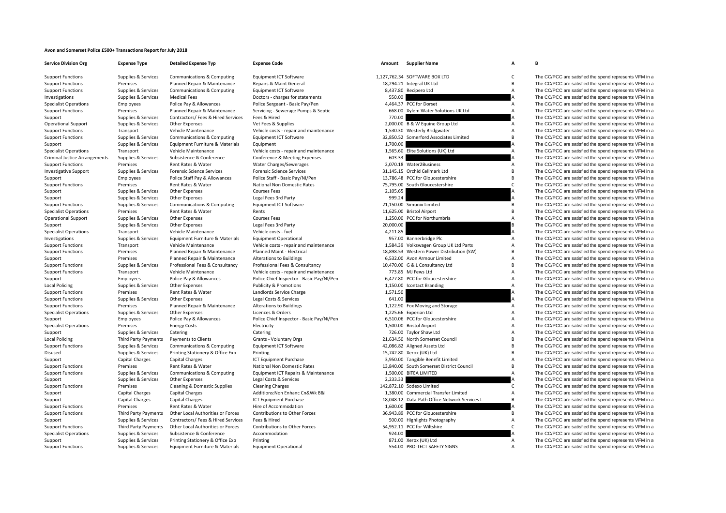## **Avon and Somerset Police £500+ Transactions Report for July 2018**

| <b>Service Division Org</b>          | Expen   |
|--------------------------------------|---------|
| <b>Support Functions</b>             | Suppli  |
| <b>Support Functions</b>             | Premi:  |
| <b>Support Functions</b>             | Suppli  |
| Investigations                       | Suppli  |
| <b>Specialist Operations</b>         | Emplo   |
| <b>Support Functions</b>             | Premi:  |
| Support                              | Suppli  |
| <b>Operational Support</b>           | Suppli  |
| <b>Support Functions</b>             | Transp  |
| <b>Support Functions</b>             | Suppli  |
| Support                              | Suppli  |
| <b>Specialist Operations</b>         | Transp  |
| <b>Criminal Justice Arrangements</b> | Suppli  |
| <b>Support Functions</b>             | Premi:  |
| <b>Investigative Support</b>         | Suppli  |
| Support                              | Emplo   |
| <b>Support Functions</b>             | Premi:  |
| Support                              | Suppli  |
| Support                              | Suppli  |
| <b>Support Functions</b>             | Suppli  |
| <b>Specialist Operations</b>         | Premi:  |
| <b>Operational Support</b>           | Suppli  |
| Support                              | Suppli  |
| <b>Specialist Operations</b>         | Transp  |
| Investigations                       | Suppli  |
| <b>Support Functions</b>             | Transp  |
| <b>Support Functions</b>             | Premi:  |
| Support                              | Premi:  |
| <b>Support Functions</b>             | Suppli  |
| <b>Support Functions</b>             | Transp  |
| Support                              | Emplo   |
| <b>Local Policing</b>                | Suppli  |
| <b>Support Functions</b>             | Premi:  |
| <b>Support Functions</b>             | Suppli  |
| <b>Support Functions</b>             | Premi:  |
| <b>Specialist Operations</b>         | Suppli  |
| Support                              | Emplo   |
| <b>Specialist Operations</b>         | Premi:  |
| Support                              | Suppli  |
| <b>Local Policing</b>                | Third I |
| <b>Support Functions</b>             | Suppli  |
| Disused                              | Suppli  |
| Support                              | Capita  |
| <b>Support Functions</b>             | Premi:  |
| <b>Support Functions</b>             | Suppli  |
| Support                              | Suppli  |
| <b>Support Functions</b>             | Premi:  |
| Support                              | Capita  |
| Support                              | Capita  |
| <b>Support Functions</b>             | Premi:  |
| <b>Support Functions</b>             | Third I |
| Support                              | Suppli  |
| <b>Support Functions</b>             | Third I |
| <b>Specialist Operations</b>         | Suppli  |
| Support                              | Suppli  |
| <b>Support Functions</b>             | Suppli  |

**Org Expense Type Detailed Expense Typ Expense Code Amount Supplier Name A B**

| ies & Services | Communications & Computing              | Equipment ICT Software                    |           | 1,127,762.34 SOFTWARE BOX LTD                 | $\mathsf{C}$   | The CC/PCC are satisfied the spend represents VFM in a |
|----------------|-----------------------------------------|-------------------------------------------|-----------|-----------------------------------------------|----------------|--------------------------------------------------------|
| ises           | Planned Repair & Maintenance            | Repairs & Maint General                   |           | 18,294.21 Integral UK Ltd                     | B              | The CC/PCC are satisfied the spend represents VFM in a |
| ies & Services | <b>Communications &amp; Computing</b>   | Equipment ICT Software                    |           | 8,437.80 Recipero Ltd                         | $\overline{A}$ | The CC/PCC are satisfied the spend represents VFM in a |
| ies & Services | <b>Medical Fees</b>                     | Doctors - charges for statements          | 550.00    |                                               | A              | The CC/PCC are satisfied the spend represents VFM in a |
| oyees          | Police Pay & Allowances                 | Police Sergeant - Basic Pay/Pen           |           | 4,464.37 PCC for Dorset                       | $\mathsf{A}$   | The CC/PCC are satisfied the spend represents VFM in a |
| ises           | Planned Repair & Maintenance            | Servicing - Sewerage Pumps & Septic       |           | 668.00 Xylem Water Solutions UK Ltd           | $\overline{A}$ | The CC/PCC are satisfied the spend represents VFM in a |
| ies & Services | Contractors/ Fees & Hired Services      | Fees & Hired                              | 770.00    |                                               | A              | The CC/PCC are satisfied the spend represents VFM in a |
| ies & Services | <b>Other Expenses</b>                   | Vet Fees & Supplies                       |           | 2,000.00 B & W Equine Group Ltd               | A              | The CC/PCC are satisfied the spend represents VFM in a |
| port           | Vehicle Maintenance                     | Vehicle costs - repair and maintenance    |           | 1,530.30 Westerly Bridgwater                  | Α              | The CC/PCC are satisfied the spend represents VFM in a |
| ies & Services | Communications & Computing              | Equipment ICT Software                    |           | 32,850.52 Somerford Associates Limited        | В              | The CC/PCC are satisfied the spend represents VFM in a |
| ies & Services | Equipment Furniture & Materials         | Equipment                                 | 1.700.00  |                                               | A              | The CC/PCC are satisfied the spend represents VFM in a |
| port           | Vehicle Maintenance                     | Vehicle costs - repair and maintenance    |           | 1,565.60 Elite Solutions (UK) Ltd             | A              | The CC/PCC are satisfied the spend represents VFM in a |
| ies & Services | Subsistence & Conference                | Conference & Meeting Expenses             | 603.33    |                                               | A              | The CC/PCC are satisfied the spend represents VFM in a |
| ises           | Rent Rates & Water                      | Water Charges/Sewerages                   |           | 2,070.18 Water2Business                       | $\overline{A}$ | The CC/PCC are satisfied the spend represents VFM in a |
| ies & Services | <b>Forensic Science Services</b>        | <b>Forensic Science Services</b>          |           | 31,145.15 Orchid Cellmark Ltd                 | В              | The CC/PCC are satisfied the spend represents VFM in a |
| oyees          | Police Staff Pay & Allowances           | Police Staff - Basic Pay/NI/Pen           |           | 13,786.48 PCC for Gloucestershire             | B              | The CC/PCC are satisfied the spend represents VFM in a |
| ises           | Rent Rates & Water                      | <b>National Non Domestic Rates</b>        |           | 75,795.00 South Gloucestershire               | C              | The CC/PCC are satisfied the spend represents VFM in a |
| ies & Services | Other Expenses                          | <b>Courses Fees</b>                       | 2,105.65  |                                               | Α              | The CC/PCC are satisfied the spend represents VFM in a |
| ies & Services | <b>Other Expenses</b>                   | Legal Fees 3rd Party                      | 999.24    |                                               | A              | The CC/PCC are satisfied the spend represents VFM in a |
| ies & Services | Communications & Computing              | Equipment ICT Software                    |           | 21,150.00 Simunix Limited                     | B              | The CC/PCC are satisfied the spend represents VFM in a |
| ises           | Rent Rates & Water                      | Rents                                     |           | 11,625.00 Bristol Airport                     | B              | The CC/PCC are satisfied the spend represents VFM in a |
| ies & Services | Other Expenses                          | <b>Courses Fees</b>                       |           | 1,250.00 PCC for Northumbria                  | A              | The CC/PCC are satisfied the spend represents VFM in a |
| ies & Services | <b>Other Expenses</b>                   | Legal Fees 3rd Party                      | 20,000.00 |                                               | В              | The CC/PCC are satisfied the spend represents VFM in a |
| port           | Vehicle Maintenance                     | Vehicle costs - fuel                      | 4,211.85  |                                               | A              | The CC/PCC are satisfied the spend represents VFM in a |
| ies & Services | Equipment Furniture & Materials         | <b>Equipment Operational</b>              |           | 957.00 Bannerbridge Plc                       | Α              | The CC/PCC are satisfied the spend represents VFM in a |
| port           | Vehicle Maintenance                     | Vehicle costs - repair and maintenance    |           | 1,584.39 Volkswagen Group UK Ltd Parts        | Α              | The CC/PCC are satisfied the spend represents VFM in a |
| ises           | Planned Repair & Maintenance            | Planned Maint - Electrical                |           | 18,898.53 Western Power Distribution (SW)     | В              | The CC/PCC are satisfied the spend represents VFM in a |
| ises           | Planned Repair & Maintenance            | Alterations to Buildings                  |           | 6,532.00 Avon Armour Limited                  | A              | The CC/PCC are satisfied the spend represents VFM in a |
| ies & Services | Professional Fees & Consultancy         | Professional Fees & Consultancy           |           | 10,470.00 G & L Consultancy Ltd               | В              | The CC/PCC are satisfied the spend represents VFM in a |
| port           | Vehicle Maintenance                     | Vehicle costs - repair and maintenance    |           | 773.85 MJ Fews Ltd                            | А              | The CC/PCC are satisfied the spend represents VFM in a |
| oyees          | Police Pay & Allowances                 | Police Chief Inspector - Basic Pay/NI/Pen |           | 6,477.80 PCC for Gloucestershire              | Α              | The CC/PCC are satisfied the spend represents VFM in a |
| ies & Services | <b>Other Expenses</b>                   | <b>Publicity &amp; Promotions</b>         |           | 1,150.00 Icontact Branding                    | Α              | The CC/PCC are satisfied the spend represents VFM in a |
| ises           | Rent Rates & Water                      | Landlords Service Charge                  | 1,571.50  |                                               | А              | The CC/PCC are satisfied the spend represents VFM in a |
| ies & Services | <b>Other Expenses</b>                   | Legal Costs & Services                    | 641.00    |                                               | A              | The CC/PCC are satisfied the spend represents VFM in a |
| ises           | Planned Repair & Maintenance            | <b>Alterations to Buildings</b>           |           | 1,122.90 Fox Moving and Storage               | $\mathsf{A}$   | The CC/PCC are satisfied the spend represents VFM in a |
| ies & Services | <b>Other Expenses</b>                   | Licences & Orders                         |           | 1,225.66 Experian Ltd                         | Α              | The CC/PCC are satisfied the spend represents VFM in a |
| oyees          | Police Pay & Allowances                 | Police Chief Inspector - Basic Pay/Ni/Pen |           | 6,510.06 PCC for Gloucestershire              | Α              | The CC/PCC are satisfied the spend represents VFM in a |
| ises           | <b>Energy Costs</b>                     | Electricity                               |           | 1,500.00 Bristol Airport                      | A              | The CC/PCC are satisfied the spend represents VFM in a |
| ies & Services | Catering                                | Catering                                  |           | 726.00 Taylor Shaw Ltd                        | А              | The CC/PCC are satisfied the spend represents VFM in a |
| Party Payments | Payments to Clients                     | Grants - Voluntary Orgs                   |           | 21,634.50 North Somerset Council              | В              | The CC/PCC are satisfied the spend represents VFM in a |
| ies & Services | Communications & Computing              | Equipment ICT Software                    |           | 42,086.82 Aligned Assets Ltd                  | R              | The CC/PCC are satisfied the spend represents VFM in a |
| ies & Services | Printing Stationery & Office Exp        | Printing                                  |           | 15,742.80 Xerox (UK) Ltd                      | B              | The CC/PCC are satisfied the spend represents VFM in a |
| al Charges     | Capital Charges                         | ICT Equipment Purchase                    |           | 3,950.00 Tangible Benefit Limited             | А              | The CC/PCC are satisfied the spend represents VFM in a |
| ises           | Rent Rates & Water                      | National Non Domestic Rates               |           | 13,840.00 South Somerset District Council     | В              | The CC/PCC are satisfied the spend represents VFM in a |
| ies & Services | <b>Communications &amp; Computing</b>   | Equipment ICT Repairs & Maintenance       |           | 1,500.00 BITEA LIMITED                        | A              | The CC/PCC are satisfied the spend represents VFM in a |
| ies & Services | Other Expenses                          | Legal Costs & Services                    | 2,233.33  |                                               | A              | The CC/PCC are satisfied the spend represents VFM in a |
| ises           | <b>Cleaning &amp; Domestic Supplies</b> | <b>Cleaning Charges</b>                   |           | 142.872.10 Sodexo Limited                     | C              | The CC/PCC are satisfied the spend represents VFM in a |
| al Charges     | <b>Capital Charges</b>                  | Additions: Non Enhanc Cn&Wk B&I           |           | 1,380.00 Commercial Transfer Limited          | Α              | The CC/PCC are satisfied the spend represents VFM in a |
| al Charges     | Capital Charges                         | ICT Equipment Purchase                    |           | 18,048.12 Data-Path Office Network Services L | В              | The CC/PCC are satisfied the spend represents VFM in a |
| ises           | Rent Rates & Water                      | Hire of Accommodation                     | 1,600.00  |                                               | A              | The CC/PCC are satisfied the spend represents VFM in a |
| Party Payments | Other Local Authorities or Forces       | Contributions to Other Forces             |           | 36,943.89 PCC for Gloucestershire             | В              | The CC/PCC are satisfied the spend represents VFM in a |
| ies & Services | Contractors/ Fees & Hired Services      | Fees & Hired                              |           | 500.00 Highlights Photography                 | Α              | The CC/PCC are satisfied the spend represents VFM in a |
| Party Payments | Other Local Authorities or Forces       | Contributions to Other Forces             |           | 54,952.11 PCC for Wiltshire                   | C              | The CC/PCC are satisfied the spend represents VFM in a |
| ies & Services | Subsistence & Conference                | Accommodation                             | 924.00    |                                               | A              | The CC/PCC are satisfied the spend represents VFM in a |
| ies & Services | Printing Stationery & Office Exp        | Printing                                  |           | 871.00 Xerox (UK) Ltd                         | Α              | The CC/PCC are satisfied the spend represents VFM in a |
|                |                                         | المستقدمة                                 |           | $100.002$ TECT<br>CLONIC                      |                |                                                        |

es & Services Equipment Furniture & Materials Fquipment Operational 554.00 PRO‐TECT SAFETY SIGNS A The CC/PCC are satisfied the spend represents VFM in a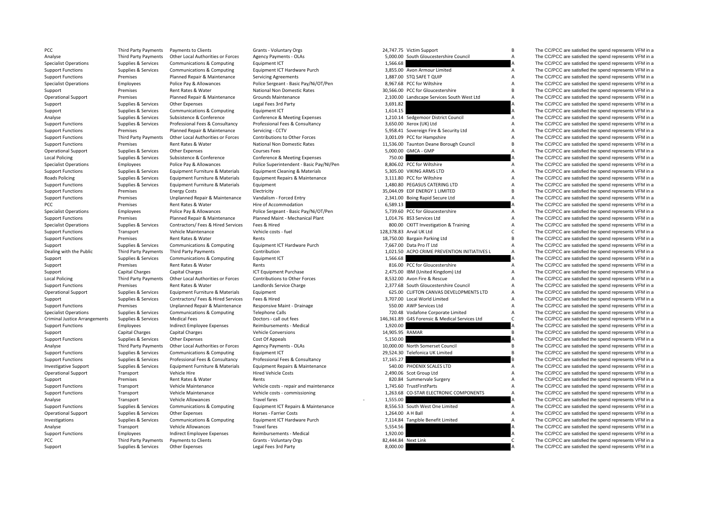| PCC                                  | <b>Third Party Payments</b> | Payments to Clients                | <b>Grants - Voluntary Orgs</b>           |                 | 24,747.75 Victim Support                       | B              | The CC/PCC are satisfied the spend represents VFM in a |
|--------------------------------------|-----------------------------|------------------------------------|------------------------------------------|-----------------|------------------------------------------------|----------------|--------------------------------------------------------|
| Analyse                              | Third Party Payments        | Other Local Authorities or Forces  | Agency Payments - OLAs                   |                 | 5,000.00 South Gloucestershire Council         | $\overline{A}$ | The CC/PCC are satisfied the spend represents VFM in a |
| <b>Specialist Operations</b>         | Supplies & Services         | Communications & Computing         | Equipment ICT                            | 1,566.68        |                                                |                | The CC/PCC are satisfied the spend represents VFM in a |
| <b>Support Functions</b>             | Supplies & Services         | Communications & Computing         | Equipment ICT Hardware Purch             |                 | 3,855.00 Avon Armour Limited                   | A              | The CC/PCC are satisfied the spend represents VFM in a |
| <b>Support Functions</b>             | Premises                    | Planned Repair & Maintenance       | <b>Servicing Agreements</b>              |                 | 1,887.00 STQ SAFE T QUIP                       | A              | The CC/PCC are satisfied the spend represents VFM in a |
| <b>Specialist Operations</b>         | Employees                   | Police Pay & Allowances            | Police Sergeant - Basic Pay/Ni/OT/Pen    |                 | 8,967.68 PCC for Wiltshire                     | A              | The CC/PCC are satisfied the spend represents VFM in a |
| Support                              | Premises                    | Rent Rates & Water                 | National Non Domestic Rates              |                 | 30,566.00 PCC for Gloucestershire              | B.             | The CC/PCC are satisfied the spend represents VFM in a |
|                                      |                             |                                    |                                          |                 |                                                | $\overline{A}$ |                                                        |
| <b>Operational Support</b>           | Premises                    | Planned Repair & Maintenance       | Grounds Maintenance                      |                 | 2,100.00 Landscape Services South West Ltd     |                | The CC/PCC are satisfied the spend represents VFM in a |
| Support                              | Supplies & Services         | <b>Other Expenses</b>              | Legal Fees 3rd Party                     | 3,691.82        |                                                | A              | The CC/PCC are satisfied the spend represents VFM in a |
| Support                              | Supplies & Services         | Communications & Computing         | Equipment ICT                            | 1,614.15        |                                                |                | The CC/PCC are satisfied the spend represents VFM in a |
| Analyse                              | Supplies & Services         | Subsistence & Conference           | Conference & Meeting Expenses            |                 | 1,210.14 Sedgemoor District Council            | $\overline{A}$ | The CC/PCC are satisfied the spend represents VFM in a |
| <b>Support Functions</b>             | Supplies & Services         | Professional Fees & Consultancy    | Professional Fees & Consultancy          |                 | 3,650.00 Xerox (UK) Ltd                        | A              | The CC/PCC are satisfied the spend represents VFM in a |
| <b>Support Functions</b>             | Premises                    | Planned Repair & Maintenance       | Servicing - CCTV                         |                 | 5,958.41 Sovereign Fire & Security Ltd         | $\overline{A}$ | The CC/PCC are satisfied the spend represents VFM in a |
| <b>Support Functions</b>             | Third Party Payments        | Other Local Authorities or Forces  | Contributions to Other Forces            |                 | 3,001.09 PCC for Hampshire                     | $\overline{A}$ | The CC/PCC are satisfied the spend represents VFM in a |
| <b>Support Functions</b>             | Premises                    | Rent Rates & Water                 | National Non Domestic Rates              |                 | 11,536.00 Taunton Deane Borough Council        | B.             | The CC/PCC are satisfied the spend represents VFM in a |
| <b>Operational Support</b>           | Supplies & Services         | <b>Other Expenses</b>              | <b>Courses Fees</b>                      |                 | 5,000.00 GMCA - GMP                            | A              | The CC/PCC are satisfied the spend represents VFM in a |
|                                      | Supplies & Services         |                                    |                                          | 750.00          |                                                |                | The CC/PCC are satisfied the spend represents VFM in a |
| <b>Local Policing</b>                |                             | Subsistence & Conference           | Conference & Meeting Expenses            |                 |                                                |                |                                                        |
| <b>Specialist Operations</b>         | Employees                   | Police Pay & Allowances            | Police Superintendent - Basic Pay/NI/Pen |                 | 8,806.02 PCC for Wiltshire                     | A              | The CC/PCC are satisfied the spend represents VFM in a |
| <b>Support Functions</b>             | Supplies & Services         | Equipment Furniture & Materials    | Equipment Cleaning & Materials           |                 | 5,305.00 VIKING ARMS LTD                       | $\overline{A}$ | The CC/PCC are satisfied the spend represents VFM in a |
| Roads Policing                       | Supplies & Services         | Equipment Furniture & Materials    | Equipment Repairs & Maintenance          |                 | 3,111.80 PCC for Wiltshire                     | $\overline{A}$ | The CC/PCC are satisfied the spend represents VFM in a |
| <b>Support Functions</b>             | Supplies & Services         | Equipment Furniture & Materials    | Equipment                                |                 | 1,480.80 PEGASUS CATERING LTD                  | $\overline{A}$ | The CC/PCC are satisfied the spend represents VFM in a |
| <b>Support Functions</b>             | Premises                    | <b>Energy Costs</b>                | Electricity                              |                 | 35,044.09 EDF ENERGY 1 LIMITED                 | B              | The CC/PCC are satisfied the spend represents VFM in a |
| <b>Support Functions</b>             | Premises                    | Unplanned Repair & Maintenance     | Vandalism - Forced Entry                 |                 | 2,341.00 Boing Rapid Secure Ltd                | A              | The CC/PCC are satisfied the spend represents VFM in a |
| PCC                                  | Premises                    | Rent Rates & Water                 | Hire of Accommodation                    | 6,589.13        |                                                |                | The CC/PCC are satisfied the spend represents VFM in a |
| <b>Specialist Operations</b>         | Employees                   | Police Pay & Allowances            | Police Sergeant - Basic Pay/Ni/OT/Pen    |                 | 5,739.60 PCC for Gloucestershire               | A              | The CC/PCC are satisfied the spend represents VFM in a |
|                                      |                             |                                    |                                          |                 |                                                | $\overline{A}$ |                                                        |
| <b>Support Functions</b>             | Premises                    | Planned Repair & Maintenance       | Planned Maint - Mechanical Plant         |                 | 1,014.76 BS3 Services Ltd                      |                | The CC/PCC are satisfied the spend represents VFM in a |
| <b>Specialist Operations</b>         | Supplies & Services         | Contractors/ Fees & Hired Services | Fees & Hired                             |                 | 800.00 CKITT Investigation & Training          | $\overline{A}$ | The CC/PCC are satisfied the spend represents VFM in a |
| <b>Support Functions</b>             | Transport                   | Vehicle Maintenance                | Vehicle costs - fuel                     |                 | 128,378.83 Arval UK Ltd                        | $\mathsf{C}$   | The CC/PCC are satisfied the spend represents VFM in a |
| <b>Support Functions</b>             | Premises                    | Rent Rates & Water                 | Rents                                    |                 | 18,750.00 Bargain Parking Ltd                  | B.             | The CC/PCC are satisfied the spend represents VFM in a |
| Support                              | Supplies & Services         | Communications & Computing         | Equipment ICT Hardware Purch             |                 | 7,667.00 Data Pro IT Ltd                       | A              | The CC/PCC are satisfied the spend represents VFM in a |
| Dealing with the Public              | Third Party Payments        | Third Party Payments               | Contribution                             |                 | 1,021.50 ACPO CRIME PREVENTION INITIATIVES L   | Α              | The CC/PCC are satisfied the spend represents VFM in a |
| Support                              | Supplies & Services         | Communications & Computing         | Equipment ICT                            | 1,566.68        |                                                |                | The CC/PCC are satisfied the spend represents VFM in a |
| Support                              | Premises                    | Rent Rates & Water                 | Rents                                    |                 | 816.00 PCC for Gloucestershire                 | A              | The CC/PCC are satisfied the spend represents VFM in a |
| Support                              | <b>Capital Charges</b>      | <b>Capital Charges</b>             | ICT Equipment Purchase                   |                 | 2,475.00 IBM (United Kingdom) Ltd              | $\overline{A}$ | The CC/PCC are satisfied the spend represents VFM in a |
|                                      |                             |                                    |                                          |                 |                                                | $\overline{A}$ |                                                        |
| <b>Local Policing</b>                | Third Party Payments        | Other Local Authorities or Forces  | Contributions to Other Forces            |                 | 8,532.00 Avon Fire & Rescue                    |                | The CC/PCC are satisfied the spend represents VFM in a |
| <b>Support Functions</b>             | Premises                    | Rent Rates & Water                 | Landlords Service Charge                 |                 | 2,377.68 South Gloucestershire Council         | A              | The CC/PCC are satisfied the spend represents VFM in a |
| <b>Operational Support</b>           | Supplies & Services         | Equipment Furniture & Materials    | Equipment                                |                 | 625.00 CLIFTON CANVAS DEVELOPMENTS LTD         | A              | The CC/PCC are satisfied the spend represents VFM in a |
| Support                              | Supplies & Services         | Contractors/ Fees & Hired Services | Fees & Hired                             |                 | 3,707.00 Local World Limited                   | A              | The CC/PCC are satisfied the spend represents VFM in a |
| <b>Support Functions</b>             | Premises                    | Unplanned Repair & Maintenance     | Responsive Maint - Drainage              |                 | 550.00 AWP Services Ltd                        | $\overline{A}$ | The CC/PCC are satisfied the spend represents VFM in a |
| <b>Specialist Operations</b>         | Supplies & Services         | Communications & Computing         | <b>Telephone Calls</b>                   |                 | 720.48 Vodafone Corporate Limited              | A              | The CC/PCC are satisfied the spend represents VFM in a |
| <b>Criminal Justice Arrangements</b> | Supplies & Services         | <b>Medical Fees</b>                | Doctors - call out fees                  |                 | 146,361.89 G4S Forensic & Medical Services Ltd | $\mathsf{C}$   | The CC/PCC are satisfied the spend represents VFM in a |
| <b>Support Functions</b>             | Employees                   | Indirect Employee Expenses         | Reimbursements - Medical                 | 1,920.00        |                                                |                | The CC/PCC are satisfied the spend represents VFM in a |
| Support                              | Capital Charges             | <b>Capital Charges</b>             | <b>Vehicle Conversions</b>               | 14,905.95 RAMAR |                                                | В              | The CC/PCC are satisfied the spend represents VFM in a |
| <b>Support Functions</b>             | Supplies & Services         | <b>Other Expenses</b>              | Cost Of Appeals                          | 5,150.00        |                                                |                | The CC/PCC are satisfied the spend represents VFM in a |
|                                      |                             |                                    |                                          |                 |                                                |                |                                                        |
| Analyse                              | <b>Third Party Payments</b> | Other Local Authorities or Forces  | <b>Agency Payments - OLAs</b>            |                 | 10.000.00 North Somerset Council               | B              | The CC/PCC are satisfied the spend represents VFM in a |
| <b>Support Functions</b>             | Supplies & Services         | Communications & Computing         | Equipment ICT                            |                 | 29,524.30 Telefonica UK Limited                | B              | The CC/PCC are satisfied the spend represents VFM in a |
| <b>Support Functions</b>             | Supplies & Services         | Professional Fees & Consultancy    | Professional Fees & Consultancy          | 17.165.27       |                                                |                | The CC/PCC are satisfied the spend represents VFM in a |
| <b>Investigative Support</b>         | Supplies & Services         | Equipment Furniture & Materials    | Equipment Repairs & Maintenance          |                 | 540.00 PHOENIX SCALES LTD                      | $\overline{A}$ | The CC/PCC are satisfied the spend represents VFM in a |
| <b>Operational Support</b>           | Transport                   | Vehicle Hire                       | <b>Hired Vehicle Costs</b>               |                 | 2,490.06 Scot Group Ltd                        | $\overline{A}$ | The CC/PCC are satisfied the spend represents VFM in a |
| Support                              | Premises                    | Rent Rates & Water                 | Rents                                    |                 | 820.84 Summervale Surgery                      | $\overline{A}$ | The CC/PCC are satisfied the spend represents VFM in a |
| <b>Support Functions</b>             | Transport                   | Vehicle Maintenance                | Vehicle costs - repair and maintenance   |                 | 1.745.60 TrustFirstParts                       | A              | The CC/PCC are satisfied the spend represents VFM in a |
| <b>Support Functions</b>             | Transport                   | Vehicle Maintenance                | Vehicle costs - commissioning            |                 | 1,263.68 CO-STAR ELECTRONIC COMPONENTS         | $\overline{A}$ | The CC/PCC are satisfied the spend represents VFM in a |
|                                      |                             | Vehicle Allowances                 | <b>Travel fares</b>                      | 1,555.00        |                                                |                | The CC/PCC are satisfied the spend represents VFM in a |
| Analyse                              | Transport                   |                                    |                                          |                 |                                                |                |                                                        |
| <b>Support Functions</b>             | Supplies & Services         | Communications & Computing         | Equipment ICT Repairs & Maintenance      |                 | 8,556.53 South West One Limited                | $\overline{A}$ | The CC/PCC are satisfied the spend represents VFM in a |
| <b>Operational Support</b>           | Supplies & Services         | <b>Other Expenses</b>              | Horses - Farrier Costs                   |                 | 1,264.00 A H Ball                              | A              | The CC/PCC are satisfied the spend represents VFM in a |
| Investigations                       | Supplies & Services         | Communications & Computing         | Equipment ICT Hardware Purch             |                 | 7,114.84 Tangible Benefit Limited              | Α              | The CC/PCC are satisfied the spend represents VFM in a |
| Analyse                              | Transport                   | Vehicle Allowances                 | <b>Travel fares</b>                      | 5,554.56        |                                                | A              | The CC/PCC are satisfied the spend represents VFM in a |
| <b>Support Functions</b>             | Employees                   | Indirect Employee Expenses         | Reimbursements - Medical                 | 1,920.00        |                                                |                | The CC/PCC are satisfied the spend represents VFM in a |
| PCC                                  | Third Party Payments        | Payments to Clients                | Grants - Voluntary Orgs                  |                 | 82,444.84 Next Link                            | $\mathsf{C}$   | The CC/PCC are satisfied the spend represents VFM in a |
|                                      |                             |                                    |                                          |                 |                                                |                |                                                        |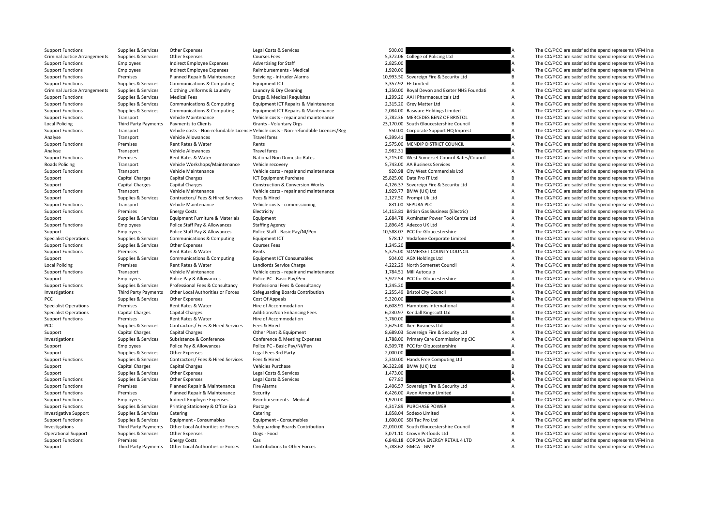Support Functions Supplies Services Other Expenses Legal Costs & Services Support Support The CC/PCC are satisfied the spend represents VFM in a

| Support Functions                    | Supplies & Services                              | Other expenses                                   | Legal Costs & Services                                                              | <b>500.00</b> |                                                                     |                |
|--------------------------------------|--------------------------------------------------|--------------------------------------------------|-------------------------------------------------------------------------------------|---------------|---------------------------------------------------------------------|----------------|
| <b>Criminal Justice Arrangements</b> | Supplies & Services                              | <b>Other Expenses</b>                            | <b>Courses Fees</b>                                                                 |               | 5,372.06 College of Policing Ltd                                    | A              |
| <b>Support Functions</b>             | Employees                                        | Indirect Employee Expenses                       | <b>Advertising for Staff</b>                                                        | 2,825.00      |                                                                     |                |
| <b>Support Functions</b>             | Employees                                        | Indirect Employee Expenses                       | Reimbursements - Medical                                                            | 1,920.00      |                                                                     |                |
| <b>Support Functions</b>             | Premises                                         | Planned Repair & Maintenance                     | Servicing - Intruder Alarms                                                         |               | 10,993.50 Sovereign Fire & Security Ltd                             | B              |
| <b>Support Functions</b>             | Supplies & Services                              | Communications & Computing                       | Equipment ICT                                                                       |               | 3,357.92 EE Limited                                                 |                |
| <b>Criminal Justice Arrangements</b> | Supplies & Services                              | Clothing Uniforms & Laundry                      | Laundry & Dry Cleaning                                                              |               | 1,250.00 Royal Devon and Exeter NHS Foundati                        | A              |
| <b>Support Functions</b>             | Supplies & Services                              | <b>Medical Fees</b>                              | Drugs & Medical Requisites                                                          |               | 1,299.20 AAH Pharmaceuticals Ltd                                    | A              |
| <b>Support Functions</b>             | Supplies & Services                              | Communications & Computing                       | Equipment ICT Repairs & Maintenance                                                 |               | 2,315.20 Grey Matter Ltd                                            | A              |
| <b>Support Functions</b>             | Supplies & Services                              | Communications & Computing                       | Equipment ICT Repairs & Maintenance                                                 |               | 2,084.00 Basware Holdings Limited                                   | A              |
| <b>Support Functions</b>             | Transport                                        | Vehicle Maintenance                              | Vehicle costs - repair and maintenance                                              |               | 2,782.36 MERCEDES BENZ OF BRISTOL                                   | А              |
| <b>Local Policing</b>                | <b>Third Party Payments</b>                      | Payments to Clients                              | Grants - Voluntary Orgs                                                             |               | 23,170.00 South Gloucestershire Council                             | B              |
| <b>Support Functions</b>             | Transport                                        |                                                  | Vehicle costs - Non-refundable Licence: Vehicle costs - Non-refundable Licences/Reg |               | 550.00 Corporate Support HQ Imprest                                 | A              |
| Analyse                              | Transport                                        | Vehicle Allowances                               | <b>Travel fares</b>                                                                 | 6,399.41      |                                                                     |                |
| <b>Support Functions</b>             | Premises                                         | Rent Rates & Water                               | Rents                                                                               |               | 2,575.00 MENDIP DISTRICT COUNCIL                                    | A              |
| Analyse                              | Transport                                        | Vehicle Allowances                               | <b>Travel fares</b>                                                                 | 2,982.31      |                                                                     |                |
| <b>Support Functions</b>             | Premises                                         | Rent Rates & Water                               | National Non Domestic Rates                                                         |               | 3,215.00 West Somerset Council Rates/Council                        | А              |
| <b>Roads Policing</b>                | Transport                                        | Vehicle Workshops/Maintenance                    | Vehicle recovery                                                                    |               | 5,743.00 AA Business Services                                       | Α              |
| <b>Support Functions</b>             | Transport                                        | Vehicle Maintenance                              | Vehicle costs - repair and maintenance                                              |               | 920.98 City West Commercials Ltd                                    | Α              |
|                                      |                                                  |                                                  |                                                                                     |               |                                                                     | B              |
| Support                              | <b>Capital Charges</b><br><b>Capital Charges</b> | <b>Capital Charges</b><br><b>Capital Charges</b> | ICT Equipment Purchase                                                              |               | 25,825.00 Data Pro IT Ltd<br>4,126.37 Sovereign Fire & Security Ltd | Α              |
| Support                              |                                                  |                                                  | <b>Construction &amp; Conversion Works</b>                                          |               | 1,929.77 BMW (UK) Ltd                                               |                |
| <b>Support Functions</b>             | Transport                                        | Vehicle Maintenance                              | Vehicle costs - repair and maintenance                                              |               |                                                                     | Α              |
| Support                              | Supplies & Services                              | Contractors/ Fees & Hired Services               | Fees & Hired                                                                        |               | 2,127.50 Prompt Uk Ltd                                              | A              |
| <b>Support Functions</b>             | Transport                                        | Vehicle Maintenance                              | Vehicle costs - commissioning                                                       |               | 831.00 SEPURA PLC                                                   | A              |
| <b>Support Functions</b>             | Premises                                         | <b>Energy Costs</b>                              | Electricity                                                                         |               | 14,113.81 British Gas Business (Electric)                           | B              |
| Support                              | Supplies & Services                              | Equipment Furniture & Materials                  | Equipment                                                                           |               | 2,684.78 Axminster Power Tool Centre Ltd                            | A              |
| <b>Support Functions</b>             | Employees                                        | Police Staff Pay & Allowances                    | <b>Staffing Agency</b>                                                              |               | 2,896.45 Adecco UK Ltd                                              |                |
| Support                              | Employees                                        | Police Staff Pay & Allowances                    | Police Staff - Basic Pay/NI/Pen                                                     |               | 10,588.07 PCC for Gloucestershire                                   | B              |
| <b>Specialist Operations</b>         | Supplies & Services                              | Communications & Computing                       | Equipment ICT                                                                       |               | 578.17 Vodafone Corporate Limited                                   |                |
| <b>Support Functions</b>             | Supplies & Services                              | <b>Other Expenses</b>                            | <b>Courses Fees</b>                                                                 | 1,245.20      |                                                                     |                |
| <b>Support Functions</b>             | Premises                                         | Rent Rates & Water                               | Rents                                                                               |               | 5,375.00 SOMERSET COUNTY COUNCIL                                    | A              |
| Support                              | Supplies & Services                              | Communications & Computing                       | <b>Equipment ICT Consumables</b>                                                    |               | 504.00 AGX Holdings Ltd                                             | Α              |
| <b>Local Policing</b>                | Premises                                         | Rent Rates & Water                               | Landlords Service Charge                                                            |               | 4,222.29 North Somerset Council                                     | Α              |
| <b>Support Functions</b>             | Transport                                        | Vehicle Maintenance                              | Vehicle costs - repair and maintenance                                              |               | 1,784.51 Mill Autoquip                                              | A              |
| Support                              | Employees                                        | Police Pay & Allowances                          | Police PC - Basic Pay/Pen                                                           |               | 3,972.54 PCC for Gloucestershire                                    | A              |
| <b>Support Functions</b>             | Supplies & Services                              | Professional Fees & Consultancy                  | Professional Fees & Consultancy                                                     | 1,245.20      |                                                                     |                |
| Investigations                       | Third Party Payments                             | Other Local Authorities or Forces                | Safeguarding Boards Contribution                                                    |               | 2,255.49 Bristol City Council                                       | $\overline{A}$ |
| PCC                                  | Supplies & Services                              | Other Expenses                                   | Cost Of Appeals                                                                     | 5,320.00      |                                                                     |                |
| <b>Specialist Operations</b>         | Premises                                         | Rent Rates & Water                               | Hire of Accommodation                                                               |               | 6,608.91 Hamptons International                                     | A              |
| <b>Specialist Operations</b>         | <b>Capital Charges</b>                           | <b>Capital Charges</b>                           | Additions: Non Enhancing Fees                                                       |               | 6,230.97 Kendall Kingscott Ltd                                      | A              |
| <b>Support Functions</b>             | Premises                                         | Rent Rates & Water                               | Hire of Accommodation                                                               | 3,760.00      |                                                                     |                |
| PCC                                  | Supplies & Services                              | Contractors/ Fees & Hired Services               | Fees & Hired                                                                        |               | 2,625.00 Iken Business Ltd                                          | Α              |
| Support                              | <b>Capital Charges</b>                           | <b>Capital Charges</b>                           | Other Plant & Equipment                                                             |               | 8,689.03 Sovereign Fire & Security Ltd                              | Α              |
| Investigations                       | Supplies & Services                              | Subsistence & Conference                         | Conference & Meeting Expenses                                                       |               | 1,788.00 Primary Care Commissioning CIC                             | Α              |
| Support                              | Employees                                        | Police Pay & Allowances                          | Police PC - Basic Pay/Ni/Pen                                                        |               | 8,509.78 PCC for Gloucestershire                                    | Α              |
| Support                              | Supplies & Services                              | Other Expenses                                   | Legal Fees 3rd Party                                                                | 2,000.00      |                                                                     |                |
| <b>Support Functions</b>             | Supplies & Services                              | Contractors/ Fees & Hired Services               | Fees & Hired                                                                        |               | 2,310.00 Hands Free Computing Ltd                                   | A              |
| Support                              | <b>Capital Charges</b>                           | <b>Capital Charges</b>                           | Vehicles Purchase                                                                   |               | 36,322.88 BMW (UK) Ltd                                              | B              |
| Support                              | Supplies & Services                              | Other Expenses                                   | Legal Costs & Services                                                              | 1,473.00      |                                                                     |                |
| <b>Support Functions</b>             | Supplies & Services                              | Other Expenses                                   | Legal Costs & Services                                                              | 677.80        |                                                                     |                |
| <b>Support Functions</b>             | Premises                                         | Planned Repair & Maintenance                     | Fire Alarms                                                                         |               | 2,406.57 Sovereign Fire & Security Ltd                              | Α              |
| <b>Support Functions</b>             | Premises                                         | Planned Repair & Maintenance                     | Security                                                                            |               | 6,426.00 Avon Armour Limited                                        | $\overline{A}$ |
| <b>Support Functions</b>             | Employees                                        | Indirect Employee Expenses                       | Reimbursements - Medical                                                            | 1,920.00      |                                                                     |                |
| <b>Support Functions</b>             | Supplies & Services                              | Printing Stationery & Office Exp                 | Postage                                                                             |               | 4,317.89 PURCHASE POWER                                             | A              |
| <b>Investigative Support</b>         | Supplies & Services                              | Catering                                         | Catering                                                                            |               | 1,858.04 Sodexo Limited                                             | $\overline{A}$ |
| <b>Support Functions</b>             | Supplies & Services                              | Equipment - Consumables                          | Equipment - Consumables                                                             |               | 1,600.00 SBI Tac Pro Ltd                                            | A              |
| Investigations                       | Third Party Payments                             | Other Local Authorities or Forces                | Safeguarding Boards Contribution                                                    |               | 22,010.00 South Gloucestershire Council                             |                |
| <b>Operational Support</b>           | Supplies & Services                              | <b>Other Expenses</b>                            | Dogs - Food                                                                         |               | 3,071.10 Crown Petfoods Ltd                                         | A              |
| <b>Support Functions</b>             | Premises                                         | <b>Energy Costs</b>                              | Gas                                                                                 |               | 6,848.18 CORONA ENERGY RETAIL 4 LTD                                 | A              |
| Support                              | Third Party Payments                             | Other Local Authorities or Forces                | <b>Contributions to Other Forces</b>                                                |               | 5.788.62 GMCA - GMP                                                 | A              |

Arrangements Supplies & Services Other Expenses Supplies & Services Courses Fees 5,372.06 College of Policing Ltd Courses Fees 5,372.06 College of Policing Ltd A The CC/PCC are satisfied the spend represents VFM in a spend Support Functions Employees Indirect Employee Expenses Advertising for Staff 2,825.00 A The CC/PCC are satisfied the spend represents VFM in a Support Functions Employees Indirect Employee Expenses Reimbursements - Medical 1,920.00 A The CC/PCC are satisfied the spend represents VFM in a Support Functions Premises Planned Repair & Maintenance Servicing - Intruder Alarms 10,993.50 Sovereign Fire & Security Ltd B The CC/PCC are satisfied the spend represents VFM in a Support Functions Supplies & Services Communications & Computing Equipment ICT 3,357.92 EE Limited 3,357.92 EE Limited A The CC/PCC are satisfied the spend represents VFM in a Supplies & Services Clothing Uniforms & Laundry Laundry & Dry Cleaning 1,250.00 Royal Devon and Exeter NHS Foundati A The CC/PCC are satisfied the spend represents VFM in a Support Functions Supplies & Services Medical Fees Drugs & Medical Requisites 1,299.20 AAH Pharmaceuticals Ltd A The CC/PCC are satisfied the spend represents VFM in a Support Functions Supplies & Services Communications & Computing Equipment ICT Repairs & Maintenance 2,315.20 Grey Matter Ltd A The CC/PCC are satisfied the spend represents VFM in a Support Functions Supplies & Services Communications & Computing Equipment ICT Repairs & Maintenance 2,084.00 Basware Holdings Limited A The CC/PCC are satisfied the spend represents VFM in a Support Functions Transport Vehicle Maintenance Vehicle costs - repair and maintenance 2,782.36 MERCEDES BENZ OF BRISTOL A The CC/PCC are satisfied the spend represents VFM in a Policing Third Party Payments Payments to Clients Grants - Voluntary Orgs and Crants and the States of Crants Crants Crants Crants Crants Ventine of this Crants Crants Crants Crants Crants Crants Crants Crants Crants Crant Analyse Transport Vehicle Allowances Travel fares Travel fares 6,399.41 A The CC/PCC are satisfied the spend represents VFM in a Support Functions Premises Rent Rates & Water Rents 2,575.00 MENDIP DISTRICT COUNCIL A The CC/PCC are satisfied the spend represents VFM in a Analyse Transport Vehicle Allowances Travel fares Travel fares 2,982.31 A The CC/PCC are satisfied the spend represents VFM in a Support Functions Premises Rent Rates & Water National Non Domestic Rates 3,215.00 West Somerset Council Rates/Council A The CC/PCC are satisfied the spend represents VFM in a Transport Vehicle Workshops/Maintenance Vehicle recovery Services 5,743.00 AA Business Services A The CC/PCC are satisfied the spend represents VFM in a Support Functions Transport Vehicle Maintenance Vehicle costs - repair and maintenance 920.98 City West Commercials Ltd A The CC/PCC are satisfied the spend represents VFM in a Support Capital Charges Capital Charges Capital Charges ICT Equipment Purchase 25,825.00 Data Pro IT Ltd B The CC/PCC are satisfied the spend represents VFM in a Support Capital Charges Capital Charges Construction & Conversion Works 4,126.37 Sovereign Fire & Security Ltd A The CC/PCC are satisfied the spend represents VFM in a Support Functions Transport Vehicle Maintenance Vehicle costs - repair and maintenance 1,929.77 BMW (UK) Ltd A The CC/PCC are satisfied the spend represents VFM in a Support Supplies & Services Contractors/ Fees & Hired Services Fees & Hired 2,127.50 Prompt Uk Ltd A The CC/PCC are satisfied the spend represents VFM in a Support Functions Transport Vehicle Maintenance Vehicle costs ‐ commissioning 831.00 SEPURA PLC A The CC/PCC are satisfied the spend represents VFM in a Support Functions Premises Energy Costs Electricity Electricity Electricity Electricity and the Support Electricity and the Support Functions and the Support Electricity and the Support Functions and the Services Enuinment Support Supplies & Services Equipment Furniture & Materials Equipment 2,684.78 Axminster Power Tool Centre Ltd A The CC/PCC are satisfied the spend represents VFM in a Support Functions Employees Police Staff Pay & Allowances Staffing Agency Staffing Agency 2,896.45 Adecco UK Ltd A The CC/PCC are satisfied the spend represents VFM in a The CC/PCC are satisfied the spend represents VFM in Support Employees Police Staff Pay & Allowances Police Staff - Basic Pay/NI/Pen 10,588.07 PCC for Gloucestershire B The CC/PCC are satisfied the spend represents VFM in a Specialist Operations Supplies & Services Communications & Computing Equipment ICT 578.17 Vodafone Corporate Limited A The CC/PCC are satisfied the spend represents VFM in a Support Functions Supplies & Services Other Expenses Courses Fees Courses Fees 1,245.20 A The CC/PCC are satisfied the spend represents VFM in a Support Functions Premises Rent Rates & Water Rents Rents Rents Rents S,375.00 SOMERSET COUNTY COUNCIL A The CC/PCC are satisfied the spend represents VFM in a Support Supplies & Services Communications & Computing Equipment ICT Consumables 504.00 AGX Holdings Ltd A The CC/PCC are satisfied the spend represents VFM in a Premises Rent Rates & Water Landlords Service Charge 4,222.29 North Somerset Council A The CC/PCC are satisfied the spend represents VFM in a Support Functions Transport Vehicle Maintenance Vehicle costs - repair and maintenance 1,784.51 Mill Autoquip A The CC/PCC are satisfied the spend represents VFM in a Support Employees Police Pay & Allowances Police PC - Basic Pay/Pen 3,972.54 PCC for Gloucestershire A The CC/PCC are satisfied the spend represents VFM in a Support Functions Supplies & Services Professional Fees & Consultancy Professional Fees & Consultancy Professional Fees & Consultancy A The CC/PCC are satisfied the spend represents VFM in a Investigations Third Party Payments Other Local Authorities or Forces Safeguarding Boards Contribution 2,255.49 Bristol City Council A The CC/PCC are satisfied the spend represents VFM in a Control of the spend represents PCC Supplies & Services Other Expenses Cost Of Appeals Cost Of Appeals 5,320.00 Supplies A The CC/PCC are satisfied the spend represents VFM in a Specialist Operations Premises Rent Rates & Water Hire of Accommodation Hire of Accommodation 6,608.91 Hamptons International A The CC/PCC are satisfied the spend represents VFM in a Specialist Operations Capital Charges C Specialist Operations Capital Charges Capital Charges Additions:Non Enhancing Fees 6,230.97 Kendall Kingscott Ltd A The CC/PCC are satisfied the spend represents VFM in a Support Functions Premises Premises Rent Rates & Water Hire of Accommodation Hire of Accommodation 3,760.00 A The CC/PCC are satisfied the spend represents VFM in a Supplies & Services Contractors/ Fees & Hired Services Fe PCC Supplies & Services Contractors/ Fees & Hired Services Fees & Hired Musical A 2,625.00 Iken Business Ltd A The CC/PCC are satisfied the spend represents VFM in a Support Capital Charges Capital Charges Capital Charges Other Plant & Foulument 8,689.03 Sovereign Fire & Security Ltd A The CC/PCC are satisfied the spend represents VFM in a Investigations Supplies & Services Subsistence & Conference Conference & Meeting Expenses 1,788.00 Primary Care Commissioning CIC A The CC/PCC are satisfied the spend represents VFM in a Support Employees Police Pay & Allowances Police PC - Basic Pay/Ni/Pen 8,509.78 PCC for Gloucestershire A The CC/PCC are satisfied the spend represents VFM in a Support Supplies & Services Other Expenses Legal Fees 3rd Party 2,000.00 2,000.00 A The CC/PCC are satisfied the spend represents VFM in a Support Functions Supplies & Services Contractors/ Fees & Hired Services Fees & Hired 2,310.00 Hands Free Computing Ltd A The CC/PCC are satisfied the spend represents VFM in a Support Capital Charges Capital Charges Vehicles Purchase Vehicles Purchase 36,322.88 BMW (UK) Ltd B The CC/PCC are satisfied the spend represents VFM in a Support Supplies & Services Other Expenses Legal Costs & Services 2,473.00 A The CC/PCC are satisfied the spend represents VFM in a Support Functions Supplies & Services Other Expenses Legal Costs & Services Legal Costs & Services 677.80 A The CC/PCC are satisfied the spend represents VFM in a Support Functions Premises Planned Repair & Maintenance Fire Alarms 2,406.57 Sovereign Fire & Security Ltd A The CC/PCC are satisfied the spend represents VFM in a Support Functions Premises Planned Repair & Maintenance Security Security 6,426.00 Avon Armour Limited A The CC/PCC are satisfied the spend represents VFM in a CO/PCC are satisfied the spend represents VFM in a spend repre Support Functions Employees Indirect Employee Expenses Reimbursements - Medical 1,920.00 A The CC/PCC are satisfied the spend represents VFM in a Support Functions Supplies & Services Printing Stationery & Office Exp Postage Postage 4,317.89 PURCHASE POWER A The CC/PCC are satisfied the spend represents VFM in a Investigative Support Supplies & Services Catering Catering Catering Catering Catering Catering Catering Catering Catering Catering Catering Catering 1,858.04 Sodexo Limited A The CC/PCC are satisfied the spend represents Support Functions Supplies & Services Equipment - Consumables Equipment - Consumables Equipment - Consumables Equipment - Consumables 1,600.00 SBI Tac Pro Ltd A The CC/PCC are satisfied the spend represents VFM in a Investigations Third Party Payments Other Local Authorities or Forces Safeguarding Boards Contribution 22,010.00 South Gloucestershire Council B The CC/PCC are satisfied the spend represents VFM in a Operational Support Supplies & Services Other Expenses Dogs - Food Dogs - Food 3,071.10 Crown Petfoods Ltd A The CC/PCC are satisfied the spend represents VFM in a Support Functions Premises Energy Costs Gas Gas Gas CORONA ENERGY RETAIL 4 LTD A The CC/PCC are satisfied the spend represents VFM in a Support Third Party Payments Other Local Authorities or Forces Contributions to Other Forces 5,788.62 GMCA - GMP A The CC/PCC are satisfied the spend represents VFM in a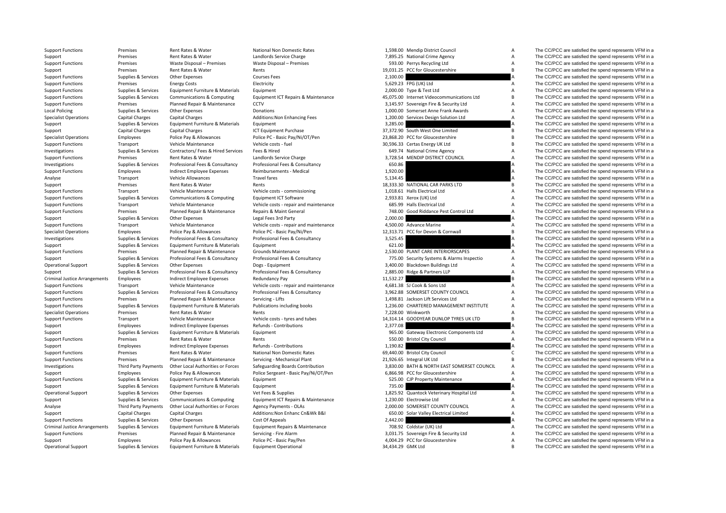| <b>Support Functions</b>             | Premises               | Rent Rates & Water                         | National Non Domestic Rates            | 1,598.00 Mendip District Council            | Α                | The CC/PCC are satisfied the spend represents VFM in a |
|--------------------------------------|------------------------|--------------------------------------------|----------------------------------------|---------------------------------------------|------------------|--------------------------------------------------------|
| Support                              | Premises               | Rent Rates & Water                         | Landlords Service Charge               | 7,895.25 National Crime Agency              | Α                | The CC/PCC are satisfied the spend represents VFM in a |
| <b>Support Functions</b>             | Premises               | Waste Disposal - Premises                  | Waste Disposal - Premises              | 593.00 Perrys Recycling Ltd                 | A                | The CC/PCC are satisfied the spend represents VFM in a |
| Support                              | Premises               | Rent Rates & Water                         | Rents                                  | 19,031.25 PCC for Gloucestershire           | B.               | The CC/PCC are satisfied the spend represents VFM in a |
| <b>Support Functions</b>             | Supplies & Services    | Other Expenses                             | <b>Courses Fees</b>                    | 2,100.00                                    |                  | The CC/PCC are satisfied the spend represents VFM in a |
| <b>Support Functions</b>             | Premises               | <b>Energy Costs</b>                        | Electricity                            | 5,629.23 FPG (UK) Ltd                       | Α                | The CC/PCC are satisfied the spend represents VFM in a |
| <b>Support Functions</b>             | Supplies & Services    | Equipment Furniture & Materials            | Equipment                              | 2,000.00 Type & Test Ltd                    | A                | The CC/PCC are satisfied the spend represents VFM in a |
| <b>Support Functions</b>             | Supplies & Services    | Communications & Computing                 | Equipment ICT Repairs & Maintenance    | 45,075.00 Internet Videocommunications Ltd  | B                | The CC/PCC are satisfied the spend represents VFM in a |
| <b>Support Functions</b>             | Premises               | Planned Repair & Maintenance               | CCTV                                   | 3,145.97 Sovereign Fire & Security Ltd      | Α                | The CC/PCC are satisfied the spend represents VFM in a |
| <b>Local Policing</b>                | Supplies & Services    | Other Expenses                             | Donations                              | 1,000.00 Somerset Anne Frank Awards         | Α                | The CC/PCC are satisfied the spend represents VFM in a |
| <b>Specialist Operations</b>         | <b>Capital Charges</b> | <b>Capital Charges</b>                     | Additions: Non Enhancing Fees          | 1,200.00 Services Design Solution Ltd       | A                | The CC/PCC are satisfied the spend represents VFM in a |
| Support                              | Supplies & Services    | Equipment Furniture & Materials            | Equipment                              | 3,285.00                                    |                  | The CC/PCC are satisfied the spend represents VFM in a |
| Support                              | <b>Capital Charges</b> | <b>Capital Charges</b>                     | <b>ICT Equipment Purchase</b>          | 37,372.90 South West One Limited            | В                | The CC/PCC are satisfied the spend represents VFM in a |
| <b>Specialist Operations</b>         | Employees              | Police Pay & Allowances                    | Police PC - Basic Pay/Ni/OT/Pen        | 23,868.20 PCC for Gloucestershire           | B                | The CC/PCC are satisfied the spend represents VFM in a |
| <b>Support Functions</b>             | Transport              | Vehicle Maintenance                        | Vehicle costs - fuel                   | 30,596.33 Certas Energy UK Ltd              | В                | The CC/PCC are satisfied the spend represents VFM in a |
| Investigations                       | Supplies & Services    | Contractors/ Fees & Hired Services         | Fees & Hired                           | 649.74 National Crime Agency                | Α                | The CC/PCC are satisfied the spend represents VFM in a |
| <b>Support Functions</b>             | Premises               | Rent Rates & Water                         | Landlords Service Charge               | 3,728.54 MENDIP DISTRICT COUNCIL            | Α                | The CC/PCC are satisfied the spend represents VFM in a |
| Investigations                       | Supplies & Services    | Professional Fees & Consultancy            | Professional Fees & Consultancy        | 650.86                                      | A                | The CC/PCC are satisfied the spend represents VFM in a |
| <b>Support Functions</b>             | Employees              | Indirect Employee Expenses                 | Reimbursements - Medical               | 1,920.00                                    | A                | The CC/PCC are satisfied the spend represents VFM in a |
| Analyse                              | Transport              | Vehicle Allowances                         | <b>Travel fares</b>                    | 5,134.45                                    |                  | The CC/PCC are satisfied the spend represents VFM in a |
| Support                              | Premises               | Rent Rates & Water                         | Rents                                  | 18,333.30 NATIONAL CAR PARKS LTD            | B                | The CC/PCC are satisfied the spend represents VFM in a |
| <b>Support Functions</b>             | Transport              | Vehicle Maintenance                        | Vehicle costs - commissioning          | 1,018.61 Halls Electrical Ltd               | Α                | The CC/PCC are satisfied the spend represents VFM in a |
| <b>Support Functions</b>             | Supplies & Services    | Communications & Computing                 | Equipment ICT Software                 | 2,933.81 Xerox (UK) Ltd                     | Α                | The CC/PCC are satisfied the spend represents VFM in a |
| <b>Support Functions</b>             | Transport              | Vehicle Maintenance                        | Vehicle costs - repair and maintenance | 685.99 Halls Electrical Ltd                 | Α                | The CC/PCC are satisfied the spend represents VFM in a |
| <b>Support Functions</b>             | Premises               | Planned Repair & Maintenance               | Repairs & Maint General                | 748.00 Good Riddance Pest Control Ltd       | A                | The CC/PCC are satisfied the spend represents VFM in a |
| Support                              | Supplies & Services    | Other Expenses                             | Legal Fees 3rd Party                   | 2,000.00                                    |                  | The CC/PCC are satisfied the spend represents VFM in a |
| <b>Support Functions</b>             | Transport              | Vehicle Maintenance                        | Vehicle costs - repair and maintenance | 4,500.00 Advance Marine                     | Α                | The CC/PCC are satisfied the spend represents VFM in a |
| <b>Specialist Operations</b>         | Employees              | Police Pay & Allowances                    | Police PC - Basic Pay/Ni/Pen           | 12,313.71 PCC for Devon & Cornwall          | $\overline{B}$   | The CC/PCC are satisfied the spend represents VFM in a |
| Investigations                       | Supplies & Services    | Professional Fees & Consultancy            | Professional Fees & Consultancy        | 3,525.45                                    | A                | The CC/PCC are satisfied the spend represents VFM in a |
| Support                              | Supplies & Services    | Equipment Furniture & Materials            | Equipment                              | 621.00                                      |                  | The CC/PCC are satisfied the spend represents VFM in a |
| <b>Support Functions</b>             | Premises               | Planned Repair & Maintenance               | Grounds Maintenance                    | 2,530.00 PLANT CARE INTERIORSCAPES          | Α                | The CC/PCC are satisfied the spend represents VFM in a |
| Support                              | Supplies & Services    | Professional Fees & Consultancy            | Professional Fees & Consultancy        | 775.00 Security Systems & Alarms Inspectio  | Α                | The CC/PCC are satisfied the spend represents VFM in a |
| <b>Operational Support</b>           | Supplies & Services    | Other Expenses                             | Dogs - Equipment                       | 3,400.00 Blackdown Buildings Ltd            | Α                | The CC/PCC are satisfied the spend represents VFM in a |
| Support                              | Supplies & Services    | Professional Fees & Consultancy            | Professional Fees & Consultancy        | 2,885.00 Ridge & Partners LLP               | Α                | The CC/PCC are satisfied the spend represents VFM in a |
| <b>Criminal Justice Arrangements</b> | Employees              | Indirect Employee Expenses                 | Redundancy Pay                         | 11,532.27                                   |                  | The CC/PCC are satisfied the spend represents VFM in a |
| <b>Support Functions</b>             | Transport              | Vehicle Maintenance                        | Vehicle costs - repair and maintenance | 4,681.38 SJ Cook & Sons Ltd                 | Α                | The CC/PCC are satisfied the spend represents VFM in a |
| <b>Support Functions</b>             | Supplies & Services    | Professional Fees & Consultancy            | Professional Fees & Consultancy        | 3,962.88 SOMERSET COUNTY COUNCIL            | Α                | The CC/PCC are satisfied the spend represents VFM in a |
| <b>Support Functions</b>             | Premises               | Planned Repair & Maintenance               | Servicing - Lifts                      | 1,498.81 Jackson Lift Services Ltd          | Α                | The CC/PCC are satisfied the spend represents VFM in a |
| <b>Support Functions</b>             | Supplies & Services    | Equipment Furniture & Materials            | Publications including books           | 1,236.00 CHARTERED MANAGEMENT INSTITUTE     | A                | The CC/PCC are satisfied the spend represents VFM in a |
| <b>Specialist Operations</b>         | Premises               | Rent Rates & Water                         | Rents                                  | 7,228.00 Winkworth                          | А                | The CC/PCC are satisfied the spend represents VFM in a |
| <b>Support Functions</b>             | Transport              | Vehicle Maintenance                        | Vehicle costs - tyres and tubes        | 14,314.14 GOODYEAR DUNLOP TYRES UK LTD      | В                | The CC/PCC are satisfied the spend represents VFM in a |
| Support                              | Employees              | Indirect Employee Expenses                 | Refunds - Contributions                | 2,377.08                                    |                  | The CC/PCC are satisfied the spend represents VFM in a |
| Support                              | Supplies & Services    | Equipment Furniture & Materials            | Equipment                              | 965.00 Gateway Electronic Components Ltd    | Α                | The CC/PCC are satisfied the spend represents VFM in a |
| <b>Support Functions</b>             | Premises               | Rent Rates & Water                         | Rents                                  | 550.00 Bristol City Council                 | $\boldsymbol{A}$ | The CC/PCC are satisfied the spend represents VFM in a |
| Support                              | Employees              | <b>Indirect Employee Expenses</b>          | Refunds - Contributions                | 1,190.82                                    |                  | The CC/PCC are satisfied the spend represents VFM in a |
| <b>Support Functions</b>             | Premises               | Rent Rates & Water                         | National Non Domestic Rates            | 69,440.00 Bristol City Council              | с                | The CC/PCC are satisfied the spend represents VFM in a |
| <b>Support Functions</b>             | Premises               | Planned Repair & Maintenance               | Servicing - Mechanical Plant           | 21,926.65 Integral UK Ltd                   | В                | The CC/PCC are satisfied the spend represents VFM in a |
| Investigations                       | Third Party Payments   | Other Local Authorities or Forces          | Safeguarding Boards Contribution       | 3,830.00 BATH & NORTH EAST SOMERSET COUNCIL | Α                | The CC/PCC are satisfied the spend represents VFM in a |
| Support                              | Employees              | Police Pay & Allowances                    | Police Sergeant - Basic Pay/Ni/OT/Pen  | 6,866.98 PCC for Gloucestershire            | A                | The CC/PCC are satisfied the spend represents VFM in a |
| <b>Support Functions</b>             | Supplies & Services    | Equipment Furniture & Materials            | Equipment                              | 525.00 CJP Property Maintenance             | A                | The CC/PCC are satisfied the spend represents VFM in a |
| Support                              | Supplies & Services    | Equipment Furniture & Materials            | Equipment                              | 735.00                                      |                  | The CC/PCC are satisfied the spend represents VFM in a |
| <b>Operational Support</b>           | Supplies & Services    | Other Expenses                             | Vet Fees & Supplies                    | 1,825.92 Quantock Veterinary Hospital Ltd   | Α                | The CC/PCC are satisfied the spend represents VFM in a |
| Support                              | Supplies & Services    | Communications & Computing                 | Equipment ICT Repairs & Maintenance    | 1,230.00 Electrowise Ltd                    | Α                | The CC/PCC are satisfied the spend represents VFM in a |
| Analyse                              | Third Party Payments   | Other Local Authorities or Forces          | Agency Payments - OLAs                 | 2,000.00 SOMERSET COUNTY COUNCIL            | A                | The CC/PCC are satisfied the spend represents VFM in a |
| Support                              | <b>Capital Charges</b> | <b>Capital Charges</b>                     | Additions: Non Enhanc Cn&Wk B&I        | 650.00 Solar Valley Electrical Limited      | Α                | The CC/PCC are satisfied the spend represents VFM in a |
| <b>Support Functions</b>             | Supplies & Services    | Other Expenses                             | Cost Of Appeals                        | 2,442.00                                    |                  | The CC/PCC are satisfied the spend represents VFM in a |
| <b>Criminal Justice Arrangements</b> | Supplies & Services    | Equipment Furniture & Materials            | Equipment Repairs & Maintenance        | 708.92 Coldstar (UK) Ltd                    | Α                | The CC/PCC are satisfied the spend represents VFM in a |
| <b>Support Functions</b>             | Premises               | Planned Repair & Maintenance               | Servicing - Fire Alarm                 | 3,031.75 Sovereign Fire & Security Ltd      | Α                | The CC/PCC are satisfied the spend represents VFM in a |
| Support                              | Employees              | Police Pay & Allowances                    | Police PC - Basic Pay/Pen              | 4,004.29 PCC for Gloucestershire            | А                | The CC/PCC are satisfied the spend represents VFM in a |
| <b>Operational Support</b>           | Supplies & Services    | <b>Foujoment Furniture &amp; Materials</b> | <b>Fauinment Operational</b>           | 34.434.29 GMK Ltd                           | B                | The CC/PCC are satisfied the spend represents VFM in a |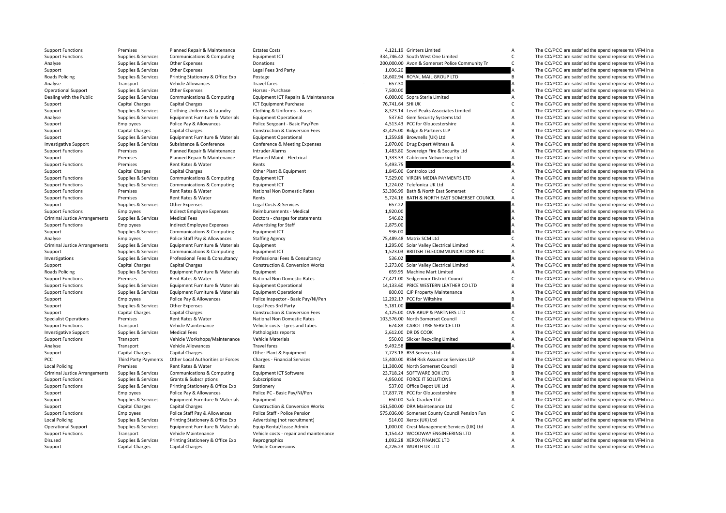| Support Functions                                    | Premises                                   | Planned Repair & Maintenance                             | estates cost:                              |                    | 4,121.19 Grinters Limited                                                           |                     | The CC/PCC are satisfied the spend represents VFM in a |
|------------------------------------------------------|--------------------------------------------|----------------------------------------------------------|--------------------------------------------|--------------------|-------------------------------------------------------------------------------------|---------------------|--------------------------------------------------------|
| <b>Support Functions</b>                             | Supplies & Services                        | Communications & Computing                               | Equipment ICT                              |                    | 334,746.42 South West One Limited                                                   | $\mathsf{C}$        | The CC/PCC are satisfied the spend represents VFM in a |
| Analyse                                              | Supplies & Services                        | Other Expenses                                           | Donations                                  |                    | 200,000.00 Avon & Somerset Police Community Tr                                      | $\mathsf{C}$        | The CC/PCC are satisfied the spend represents VFM in a |
| Support                                              | Supplies & Services                        | <b>Other Expenses</b>                                    | Legal Fees 3rd Party                       | 1,036.20           |                                                                                     |                     | The CC/PCC are satisfied the spend represents VFM in a |
| Roads Policing                                       | Supplies & Services                        | Printing Stationery & Office Exp                         | Postage                                    |                    | 18,602.94 ROYAL MAIL GROUP LTD                                                      | B                   | The CC/PCC are satisfied the spend represents VFM in a |
| Analyse                                              | Transport                                  | Vehicle Allowances                                       | <b>Travel fares</b>                        | 657.30             |                                                                                     | A                   | The CC/PCC are satisfied the spend represents VFM in a |
| <b>Operational Support</b>                           | Supplies & Services                        | <b>Other Expenses</b>                                    | Horses - Purchase                          | 7,500.00           |                                                                                     |                     | The CC/PCC are satisfied the spend represents VFM in a |
| Dealing with the Public                              | Supplies & Services                        | Communications & Computing                               | Equipment ICT Repairs & Maintenance        |                    | 6,000.00 Sopra Steria Limited                                                       | $\overline{A}$      | The CC/PCC are satisfied the spend represents VFM in a |
| Support                                              | <b>Capital Charges</b>                     | <b>Capital Charges</b>                                   | <b>ICT Equipment Purchase</b>              | 76,741.64 SHI UK   |                                                                                     | $\mathsf{C}$        | The CC/PCC are satisfied the spend represents VFM in a |
| Support                                              | Supplies & Services                        | Clothing Uniforms & Laundry                              | Clothing & Uniforms - Issues               |                    | 8,323.14 Level Peaks Associates Limited                                             | A                   | The CC/PCC are satisfied the spend represents VFM in a |
| Analyse                                              | Supplies & Services                        | Equipment Furniture & Materials                          | <b>Equipment Operational</b>               |                    | 537.60 Gem Security Systems Ltd                                                     | $\overline{A}$      | The CC/PCC are satisfied the spend represents VFM in a |
| Support                                              | Employees                                  | Police Pay & Allowances                                  | Police Sergeant - Basic Pay/Pen            |                    | 4,513.43 PCC for Gloucestershire                                                    | A                   | The CC/PCC are satisfied the spend represents VFM in a |
| Support                                              | Capital Charges                            | <b>Capital Charges</b>                                   | Construction & Conversion Fees             |                    | 32,425.00 Ridge & Partners LLP                                                      | B                   | The CC/PCC are satisfied the spend represents VFM in a |
| Support                                              | Supplies & Services                        | Equipment Furniture & Materials                          | <b>Equipment Operational</b>               |                    | 1,259.88 Brownells (UK) Ltd                                                         | A                   | The CC/PCC are satisfied the spend represents VFM in a |
| <b>Investigative Support</b>                         | Supplies & Services                        | Subsistence & Conference                                 | Conference & Meeting Expenses              |                    | 2,070.00 Drug Expert Witness &                                                      | $\overline{A}$      | The CC/PCC are satisfied the spend represents VFM in a |
| <b>Support Functions</b>                             | Premises                                   | Planned Repair & Maintenance                             | Intruder Alarms                            |                    | 1,483.80 Sovereign Fire & Security Ltd                                              | A                   | The CC/PCC are satisfied the spend represents VFM in a |
| Support                                              | Premises                                   | Planned Repair & Maintenance                             | Planned Maint - Electrical                 |                    | 1,333.33 Cablecom Networking Ltd                                                    | $\Delta$            | The CC/PCC are satisfied the spend represents VFM in a |
| <b>Support Functions</b>                             | Premises                                   | Rent Rates & Water                                       | Rents                                      | 5,493.75           |                                                                                     |                     | The CC/PCC are satisfied the spend represents VFM in a |
| Support                                              | Capital Charges                            | <b>Capital Charges</b>                                   | Other Plant & Equipment                    |                    | 1,845.00 Controlco Ltd                                                              | $\overline{A}$      | The CC/PCC are satisfied the spend represents VFM in a |
|                                                      |                                            |                                                          | Equipment ICT                              |                    | 7,529.00 VIRGIN MEDIA PAYMENTS LTD                                                  | $\overline{A}$      | The CC/PCC are satisfied the spend represents VFM in a |
| <b>Support Functions</b><br><b>Support Functions</b> | Supplies & Services<br>Supplies & Services | Communications & Computing<br>Communications & Computing | Equipment ICT                              |                    | 1,224.02 Telefonica UK Ltd                                                          | $\overline{A}$      | The CC/PCC are satisfied the spend represents VFM in a |
| <b>Support Functions</b>                             | Premises                                   | Rent Rates & Water                                       | National Non Domestic Rates                |                    | 53,396.99 Bath & North East Somerset                                                | $\mathsf{C}$        | The CC/PCC are satisfied the spend represents VFM in a |
|                                                      | Premises                                   | Rent Rates & Water                                       | Rents                                      |                    | 5,724.16 BATH & NORTH EAST SOMERSET COUNCIL                                         | Α                   | The CC/PCC are satisfied the spend represents VFM in a |
| <b>Support Functions</b>                             |                                            |                                                          |                                            | 657.22             |                                                                                     |                     |                                                        |
| Support                                              | Supplies & Services                        | <b>Other Expenses</b>                                    | Legal Costs & Services                     |                    |                                                                                     | A                   | The CC/PCC are satisfied the spend represents VFM in a |
| <b>Support Functions</b>                             | Employees                                  | Indirect Employee Expenses                               | Reimbursements - Medical                   | 1,920.00           |                                                                                     | A                   | The CC/PCC are satisfied the spend represents VFM in a |
| <b>Criminal Justice Arrangements</b>                 | Supplies & Services                        | <b>Medical Fees</b>                                      | Doctors - charges for statements           | 546.82<br>2,875.00 |                                                                                     | A                   | The CC/PCC are satisfied the spend represents VFM in a |
| <b>Support Functions</b>                             | Employees                                  | Indirect Employee Expenses                               | Advertising for Staff                      |                    |                                                                                     |                     | The CC/PCC are satisfied the spend represents VFM in a |
| Support                                              | Supplies & Services                        | Communications & Computing                               | Equipment ICT                              | 936.00             |                                                                                     |                     | The CC/PCC are satisfied the spend represents VFM in a |
| Analyse                                              | Employees                                  | Police Staff Pay & Allowances                            | <b>Staffing Agency</b>                     |                    | 75,489.48 Matrix SCM Ltd                                                            | $\mathsf{C}$        | The CC/PCC are satisfied the spend represents VFM in a |
| <b>Criminal Justice Arrangements</b>                 | Supplies & Services                        | Equipment Furniture & Materials                          | Equipment                                  |                    | 1,295.00 Solar Valley Electrical Limited<br>1,523.03 BRITISH TELECOMMUNICATIONS PLC | $\overline{A}$<br>A | The CC/PCC are satisfied the spend represents VFM in a |
| Support                                              | Supplies & Services                        | Communications & Computing                               | Equipment ICT                              |                    |                                                                                     |                     | The CC/PCC are satisfied the spend represents VFM in a |
| Investigations                                       | Supplies & Services                        | Professional Fees & Consultancy                          | Professional Fees & Consultancy            | 536.02             |                                                                                     |                     | The CC/PCC are satisfied the spend represents VFM in a |
| Support                                              | Capital Charges                            | <b>Capital Charges</b>                                   | <b>Construction &amp; Conversion Works</b> |                    | 3,273.00 Solar Valley Electrical Limited                                            | A                   | The CC/PCC are satisfied the spend represents VFM in a |
| Roads Policing                                       | Supplies & Services                        | Equipment Furniture & Materials                          | Equipment                                  |                    | 659.95 Machine Mart Limited                                                         | Α                   | The CC/PCC are satisfied the spend represents VFM in a |
| <b>Support Functions</b>                             | Premises                                   | Rent Rates & Water                                       | National Non Domestic Rates                |                    | 77,421.00 Sedgemoor District Council                                                | $\mathsf{C}$        | The CC/PCC are satisfied the spend represents VFM in a |
| <b>Support Functions</b>                             | Supplies & Services                        | Equipment Furniture & Materials                          | <b>Equipment Operational</b>               |                    | 14,133.60 PRICE WESTERN LEATHER CO LTD                                              | B                   | The CC/PCC are satisfied the spend represents VFM in a |
| <b>Support Functions</b>                             | Supplies & Services                        | Equipment Furniture & Materials                          | <b>Equipment Operational</b>               |                    | 800.00 CJP Property Maintenance                                                     | A                   | The CC/PCC are satisfied the spend represents VFM in a |
| Support                                              | Employees                                  | Police Pay & Allowances                                  | Police Inspector - Basic Pay/Ni/Pen        |                    | 12,292.17 PCC for Wiltshire                                                         | B                   | The CC/PCC are satisfied the spend represents VFM in a |
| Support                                              | Supplies & Services                        | <b>Other Expenses</b>                                    | Legal Fees 3rd Party                       | 5,181.00           |                                                                                     |                     | The CC/PCC are satisfied the spend represents VFM in a |
| Support                                              | <b>Capital Charges</b>                     | <b>Capital Charges</b>                                   | <b>Construction &amp; Conversion Fees</b>  |                    | 4,125.00 OVE ARUP & PARTNERS LTD                                                    | A                   | The CC/PCC are satisfied the spend represents VFM in a |
| <b>Specialist Operations</b>                         | Premises                                   | Rent Rates & Water                                       | National Non Domestic Rates                |                    | 103,576.00 North Somerset Council                                                   | $\mathsf{C}$        | The CC/PCC are satisfied the spend represents VFM in a |
| <b>Support Functions</b>                             | Transport                                  | Vehicle Maintenance                                      | Vehicle costs - tyres and tubes            |                    | 674.88 CABOT TYRE SERVICE LTD                                                       | $\overline{A}$      | The CC/PCC are satisfied the spend represents VFM in a |
| Investigative Support                                | Supplies & Services                        | <b>Medical Fees</b>                                      | Pathologists reports                       |                    | 2,612.00 DR DS COOK                                                                 | $\overline{A}$      | The CC/PCC are satisfied the spend represents VFM in a |
| <b>Support Functions</b>                             | Transport                                  | Vehicle Workshops/Maintenance                            | <b>Vehicle Materials</b>                   |                    | 550.00 Slicker Recycling Limited                                                    | Α                   | The CC/PCC are satisfied the spend represents VFM in a |
| Analyse                                              | Transport                                  | Vehicle Allowances                                       | <b>Travel fares</b>                        | 9,492.58           |                                                                                     |                     | The CC/PCC are satisfied the spend represents VFM in a |
| Support                                              | <b>Capital Charges</b>                     | <b>Capital Charges</b>                                   | Other Plant & Equipment                    |                    | 7,723.18 BS3 Services Ltd                                                           | A                   | The CC/PCC are satisfied the spend represents VFM in a |
| PCC                                                  | Third Party Payments                       | Other Local Authorities or Forces                        | <b>Charges - Financial Services</b>        |                    | 13,400.00 RSM Risk Assurance Services LLP                                           | B                   | The CC/PCC are satisfied the spend represents VFM in a |
| <b>Local Policing</b>                                | Premises                                   | Rent Rates & Water                                       | Rents                                      |                    | 11,300.00 North Somerset Council                                                    | B                   | The CC/PCC are satisfied the spend represents VFM in a |
| <b>Criminal Justice Arrangements</b>                 | Supplies & Services                        | Communications & Computing                               | <b>Equipment ICT Software</b>              |                    | 23,718.24 SOFTWARE BOX LTD                                                          | B                   | The CC/PCC are satisfied the spend represents VFM in a |
| <b>Support Functions</b>                             | Supplies & Services                        | Grants & Subscriptions                                   | Subscriptions                              |                    | 4.950.00 FORCE IT SOLUTIONS                                                         | A                   | The CC/PCC are satisfied the spend represents VFM in a |
| <b>Support Functions</b>                             | Supplies & Services                        | Printing Stationery & Office Exp                         | Stationery                                 |                    | 537.00 Office Depot UK Ltd                                                          | $\overline{A}$      | The CC/PCC are satisfied the spend represents VFM in a |
| Support                                              | Employees                                  | Police Pay & Allowances                                  | Police PC - Basic Pay/NI/Pen               |                    | 17,837.76 PCC for Gloucestershire                                                   | B                   | The CC/PCC are satisfied the spend represents VFM in a |
| Support                                              | Supplies & Services                        | Equipment Furniture & Materials                          | Equipment                                  |                    | 650.00 Safe Cracker Ltd                                                             | $\overline{A}$      | The CC/PCC are satisfied the spend represents VFM in a |
| Support                                              | Capital Charges                            | <b>Capital Charges</b>                                   | <b>Construction &amp; Conversion Works</b> |                    | 161,500.00 DRA Maintenance Ltd                                                      | $\mathsf{C}$        | The CC/PCC are satisfied the spend represents VFM in a |
| <b>Support Functions</b>                             | Employees                                  | Police Staff Pay & Allowances                            | Police Staff - Police Pension              |                    | 575,036.00 Somerset County Council Pension Fun                                      | $\mathsf{C}$        | The CC/PCC are satisfied the spend represents VFM in a |
| <b>Local Policing</b>                                | Supplies & Services                        | Printing Stationery & Office Exp                         | Advertising (not recruitment)              |                    | 514.00 Xerox (UK) Ltd                                                               | A                   | The CC/PCC are satisfied the spend represents VFM in a |
| <b>Operational Support</b>                           | Supplies & Services                        | Equipment Furniture & Materials                          | Equip Rental/Lease Admin                   |                    | 1,000.00 Crest Management Services (UK) Ltd                                         | A                   | The CC/PCC are satisfied the spend represents VFM in a |
| <b>Support Functions</b>                             | Transport                                  | Vehicle Maintenance                                      | Vehicle costs - repair and maintenance     |                    | 1,154.42 WOODWAY ENGINEERING LTD                                                    | A                   | The CC/PCC are satisfied the spend represents VFM in a |
| Disused                                              | Supplies & Services                        | Printing Stationery & Office Exp                         | Reprographics                              |                    | 1.092.28 XEROX FINANCE LTD                                                          | A                   | The CC/PCC are satisfied the spend represents VFM in a |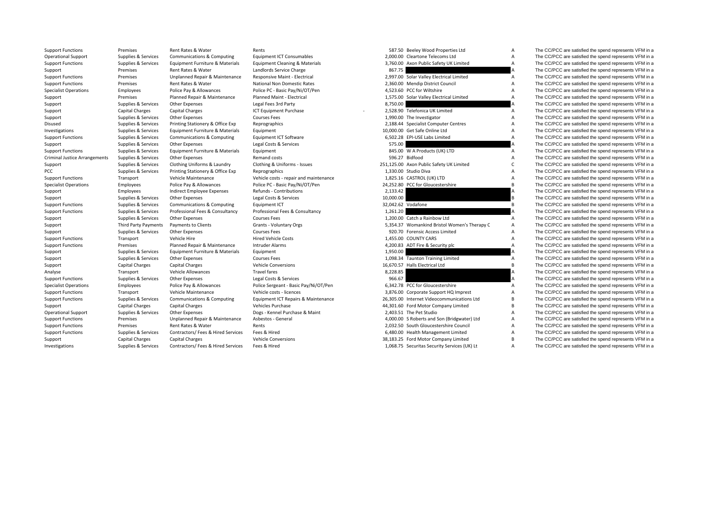| <b>Operational Support</b>           | Supplies & Services    | Communications & Computing         | <b>Equipment ICT Consumables</b>       | 2,000.00 Cleartone Telecoms Ltd              | Α  | The CC/PCC are satisfied the spend represents VFM in a |
|--------------------------------------|------------------------|------------------------------------|----------------------------------------|----------------------------------------------|----|--------------------------------------------------------|
| <b>Support Functions</b>             | Supplies & Services    | Equipment Furniture & Materials    | Equipment Cleaning & Materials         | 3,760.00 Axon Public Safety UK Limited       | A  | The CC/PCC are satisfied the spend represents VFM in a |
| Support                              | Premises               | Rent Rates & Water                 | Landlords Service Charge               | 867.75                                       |    | The CC/PCC are satisfied the spend represents VFM in a |
| <b>Support Functions</b>             | Premises               | Unplanned Repair & Maintenance     | Responsive Maint - Electrical          | 2,997.00 Solar Valley Electrical Limited     | A  | The CC/PCC are satisfied the spend represents VFM in a |
| <b>Support Functions</b>             | Premises               | Rent Rates & Water                 | National Non Domestic Rates            | 2,360.00 Mendip District Council             | Α  | The CC/PCC are satisfied the spend represents VFM in a |
| <b>Specialist Operations</b>         | Employees              | Police Pay & Allowances            | Police PC - Basic Pay/Ni/OT/Pen        | 4,523.60 PCC for Wiltshire                   | A  | The CC/PCC are satisfied the spend represents VFM in a |
| Support                              | Premises               | Planned Repair & Maintenance       | Planned Maint - Electrical             | 1,575.00 Solar Valley Electrical Limited     | Α  | The CC/PCC are satisfied the spend represents VFM in a |
| Support                              | Supplies & Services    | Other Expenses                     | Legal Fees 3rd Party                   | 8,750.00                                     |    | The CC/PCC are satisfied the spend represents VFM in a |
| Support                              | Capital Charges        | Capital Charges                    | ICT Equipment Purchase                 | 2,528.90 Telefonica UK Limited               | A  | The CC/PCC are satisfied the spend represents VFM in a |
| Support                              | Supplies & Services    | Other Expenses                     | <b>Courses Fees</b>                    | 1,990.00 The Investigator                    | A  | The CC/PCC are satisfied the spend represents VFM in a |
| Disused                              | Supplies & Services    | Printing Stationery & Office Exp   | Reprographics                          | 2,188.44 Specialist Computer Centres         | A  | The CC/PCC are satisfied the spend represents VFM in a |
| Investigations                       | Supplies & Services    | Equipment Furniture & Materials    | Equipment                              | 10,000.00 Get Safe Online Ltd                | Α  | The CC/PCC are satisfied the spend represents VFM in a |
| <b>Support Functions</b>             | Supplies & Services    | Communications & Computing         | <b>Equipment ICT Software</b>          | 6,502.28 EPI-USE Labs Limited                | Α  | The CC/PCC are satisfied the spend represents VFM in a |
| Support                              | Supplies & Services    | Other Expenses                     | Legal Costs & Services                 | 575.00                                       |    | The CC/PCC are satisfied the spend represents VFM in a |
| <b>Support Functions</b>             | Supplies & Services    | Equipment Furniture & Materials    | Equipment                              | 845.00 W A Products (UK) LTD                 | Α  | The CC/PCC are satisfied the spend represents VFM in a |
| <b>Criminal Justice Arrangements</b> | Supplies & Services    | Other Expenses                     | Remand costs                           | 596.27 Bidfood                               | A  | The CC/PCC are satisfied the spend represents VFM in a |
| Support                              | Supplies & Services    | Clothing Uniforms & Laundry        | Clothing & Uniforms - Issues           | 251,125.00 Axon Public Safety UK Limited     |    | The CC/PCC are satisfied the spend represents VFM in a |
| PCC                                  | Supplies & Services    | Printing Stationery & Office Exp   | Reprographics                          | 1,330.00 Studio Diva                         | Α  | The CC/PCC are satisfied the spend represents VFM in a |
| <b>Support Functions</b>             | Transport              | Vehicle Maintenance                | Vehicle costs - repair and maintenance | 1,825.16 CASTROL (UK) LTD                    | A  | The CC/PCC are satisfied the spend represents VFM in a |
| <b>Specialist Operations</b>         | Employees              | Police Pay & Allowances            | Police PC - Basic Pay/Ni/OT/Pen        | 24,252.80 PCC for Gloucestershire            | В  | The CC/PCC are satisfied the spend represents VFM in a |
| Support                              | Employees              | Indirect Employee Expenses         | Refunds - Contributions                | 2,133.42                                     | A  | The CC/PCC are satisfied the spend represents VFM in a |
| Support                              | Supplies & Services    | Other Expenses                     | Legal Costs & Services                 | 10,000.00                                    | B. | The CC/PCC are satisfied the spend represents VFM in a |
| <b>Support Functions</b>             | Supplies & Services    | Communications & Computing         | Equipment ICT                          | 32,042.62 Vodafone                           | B  | The CC/PCC are satisfied the spend represents VFM in a |
| <b>Support Functions</b>             | Supplies & Services    | Professional Fees & Consultancy    | Professional Fees & Consultancy        | 1,261.20                                     |    | The CC/PCC are satisfied the spend represents VFM in a |
| Support                              | Supplies & Services    | Other Expenses                     | <b>Courses Fees</b>                    | 1,200.00 Catch a Rainbow Ltd                 | Α  | The CC/PCC are satisfied the spend represents VFM in a |
| Support                              | Third Party Payments   | Payments to Clients                | Grants - Voluntary Orgs                | 5,354.37 Womankind Bristol Women's Therapy C | Α  | The CC/PCC are satisfied the spend represents VFM in a |
| Support                              | Supplies & Services    | Other Expenses                     | <b>Courses Fees</b>                    | 920.70 Forensic Access Limited               | Α  | The CC/PCC are satisfied the spend represents VFM in a |
| <b>Support Functions</b>             | Transport              | Vehicle Hire                       | <b>Hired Vehicle Costs</b>             | 1,455.00 COUNTY CARS                         | A  | The CC/PCC are satisfied the spend represents VFM in a |
| <b>Support Functions</b>             | Premises               | Planned Repair & Maintenance       | Intruder Alarms                        | 4,200.83 ADT Fire & Security plc             | A  | The CC/PCC are satisfied the spend represents VFM in a |
| Support                              | Supplies & Services    | Equipment Furniture & Materials    | Equipment                              | 1,950.00                                     |    | The CC/PCC are satisfied the spend represents VFM in a |
| Support                              | Supplies & Services    | Other Expenses                     | <b>Courses Fees</b>                    | 1,098.34 Taunton Training Limited            | Α  | The CC/PCC are satisfied the spend represents VFM in a |
| Support                              | Capital Charges        | Capital Charges                    | <b>Vehicle Conversions</b>             | 16,670.57 Halls Electrical Ltd               | B  | The CC/PCC are satisfied the spend represents VFM in a |
| Analyse                              | Transport              | Vehicle Allowances                 | <b>Travel fares</b>                    | 8,228.85                                     | А  | The CC/PCC are satisfied the spend represents VFM in a |
| <b>Support Functions</b>             | Supplies & Services    | Other Expenses                     | Legal Costs & Services                 | 966.67                                       |    | The CC/PCC are satisfied the spend represents VFM in a |
| <b>Specialist Operations</b>         | Employees              | Police Pay & Allowances            | Police Sergeant - Basic Pay/Ni/OT/Pen  | 6.342.78 PCC for Gloucestershire             | A  | The CC/PCC are satisfied the spend represents VFM in a |
| <b>Support Functions</b>             | Transport              | Vehicle Maintenance                | Vehicle costs - licences               | 3,876.00 Corporate Support HQ Imprest        | A  | The CC/PCC are satisfied the spend represents VFM in a |
| <b>Support Functions</b>             | Supplies & Services    | Communications & Computing         | Equipment ICT Repairs & Maintenance    | 26,305.00 Internet Videocommunications Ltd   | В  | The CC/PCC are satisfied the spend represents VFM in a |
| Support                              | Capital Charges        | Capital Charges                    | Vehicles Purchase                      | 44,301.60 Ford Motor Company Limited         | B  | The CC/PCC are satisfied the spend represents VFM in a |
| <b>Operational Support</b>           | Supplies & Services    | Other Expenses                     | Dogs - Kennel Purchase & Maint         | 2,403.51 The Pet Studio                      | A  | The CC/PCC are satisfied the spend represents VFM in a |
| <b>Support Functions</b>             | Premises               | Unplanned Repair & Maintenance     | Asbestos - General                     | 4,000.00 S Roberts and Son (Bridgwater) Ltd  | A  | The CC/PCC are satisfied the spend represents VFM in a |
| <b>Support Functions</b>             | Premises               | Rent Rates & Water                 | Rents                                  | 2,032.50 South Gloucestershire Council       | A  | The CC/PCC are satisfied the spend represents VFM in a |
| <b>Support Functions</b>             | Supplies & Services    | Contractors/ Fees & Hired Services | Fees & Hired                           | 6,480.00 Health Management Limited           | A  | The CC/PCC are satisfied the spend represents VFM in a |
| Support                              | <b>Capital Charges</b> | Capital Charges                    | <b>Vehicle Conversions</b>             | 38,183.25 Ford Motor Company Limited         | B  | The CC/PCC are satisfied the spend represents VFM in a |
|                                      |                        |                                    |                                        |                                              |    |                                                        |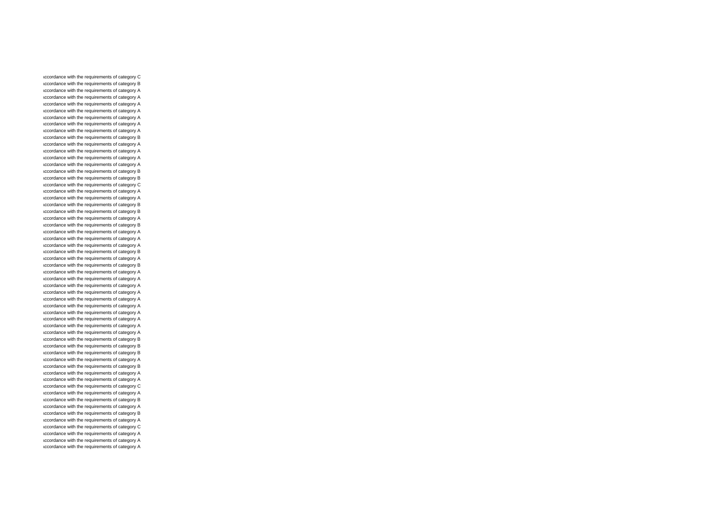accordance with the requirements of category C accordance with the requirements of category B accordance with the requirements of category A accordance with the requirements of category A accordance with the requirements of category A accordance with the requirements of category A accordance with the requirements of category A accordance with the requirements of category A accordance with the requirements of category A accordance with the requirements of category B accordance with the requirements of category A accordance with the requirements of category A accordance with the requirements of category A accordance with the requirements of category A accordance with the requirements of category B accordance with the requirements of category B accordance with the requirements of category C accordance with the requirements of category A accordance with the requirements of category A accordance with the requirements of category B accordance with the requirements of category B accordance with the requirements of category A accordance with the requirements of category B accordance with the requirements of category A accordance with the requirements of category A accordance with the requirements of category A accordance with the requirements of category B accordance with the requirements of category A accordance with the requirements of category B accordance with the requirements of category A accordance with the requirements of category A accordance with the requirements of category A accordance with the requirements of category A accordance with the requirements of category A accordance with the requirements of category A accordance with the requirements of category A accordance with the requirements of category A accordance with the requirements of category A accordance with the requirements of category A accordance with the requirements of category B accordance with the requirements of category B accordance with the requirements of category B accordance with the requirements of category A accordance with the requirements of category B accordance with the requirements of category A accordance with the requirements of category A accordance with the requirements of category C accordance with the requirements of category A accordance with the requirements of category B accordance with the requirements of category A accordance with the requirements of category B accordance with the requirements of category A accordance with the requirements of category C accordance with the requirements of category A accordance with the requirements of category A accordance with the requirements of category A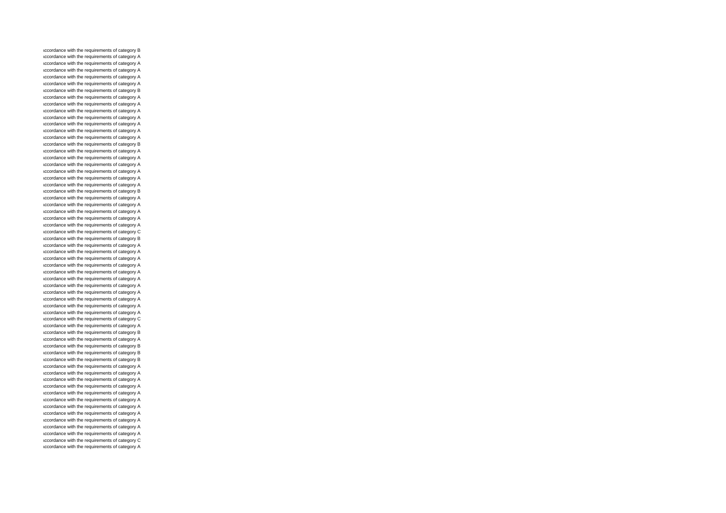accordance with the requirements of category B accordance with the requirements of category A accordance with the requirements of category A accordance with the requirements of category A accordance with the requirements of category A accordance with the requirements of category A accordance with the requirements of category B accordance with the requirements of category A accordance with the requirements of category A accordance with the requirements of category A accordance with the requirements of category A accordance with the requirements of category A accordance with the requirements of category A accordance with the requirements of category A accordance with the requirements of category B accordance with the requirements of category A accordance with the requirements of category A accordance with the requirements of category A accordance with the requirements of category A accordance with the requirements of category A accordance with the requirements of category A accordance with the requirements of category B accordance with the requirements of category A accordance with the requirements of category A accordance with the requirements of category A accordance with the requirements of category A accordance with the requirements of category A accordance with the requirements of category C accordance with the requirements of category B accordance with the requirements of category A accordance with the requirements of category A accordance with the requirements of category A accordance with the requirements of category A accordance with the requirements of category A accordance with the requirements of category A accordance with the requirements of category A accordance with the requirements of category A accordance with the requirements of category A accordance with the requirements of category A accordance with the requirements of category A accordance with the requirements of category C accordance with the requirements of category A accordance with the requirements of category B accordance with the requirements of category A accordance with the requirements of category B accordance with the requirements of category B accordance with the requirements of category B accordance with the requirements of category A accordance with the requirements of category A accordance with the requirements of category A accordance with the requirements of category A accordance with the requirements of category A accordance with the requirements of category A accordance with the requirements of category A accordance with the requirements of category A accordance with the requirements of category A accordance with the requirements of category A accordance with the requirements of category A accordance with the requirements of category C accordance with the requirements of category A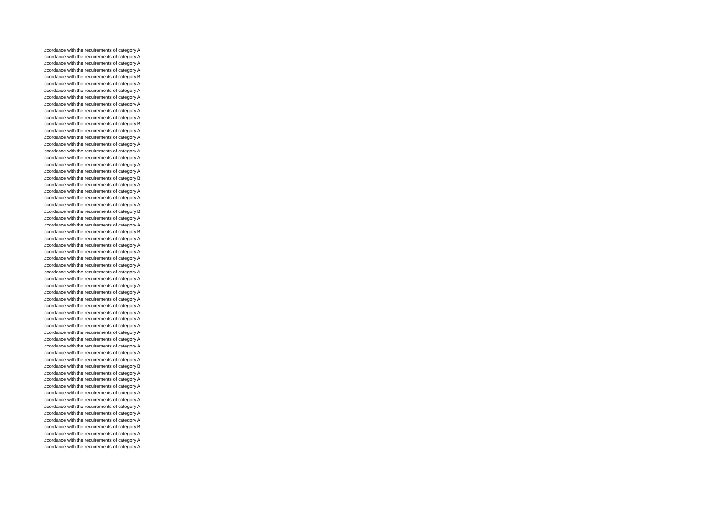accordance with the requirements of category A accordance with the requirements of category A accordance with the requirements of category A accordance with the requirements of category A accordance with the requirements of category B accordance with the requirements of category A accordance with the requirements of category A accordance with the requirements of category A accordance with the requirements of category A accordance with the requirements of category A accordance with the requirements of category A accordance with the requirements of category B accordance with the requirements of category A accordance with the requirements of category A accordance with the requirements of category A accordance with the requirements of category A accordance with the requirements of category A accordance with the requirements of category A accordance with the requirements of category A accordance with the requirements of category B accordance with the requirements of category A accordance with the requirements of category A accordance with the requirements of category A accordance with the requirements of category A accordance with the requirements of category B accordance with the requirements of category A accordance with the requirements of category A accordance with the requirements of category B accordance with the requirements of category A accordance with the requirements of category A accordance with the requirements of category A accordance with the requirements of category A accordance with the requirements of category A accordance with the requirements of category A accordance with the requirements of category A accordance with the requirements of category A accordance with the requirements of category A accordance with the requirements of category A accordance with the requirements of category A accordance with the requirements of category A accordance with the requirements of category A accordance with the requirements of category A accordance with the requirements of category A accordance with the requirements of category A accordance with the requirements of category A accordance with the requirements of category A accordance with the requirements of category A accordance with the requirements of category B accordance with the requirements of category A accordance with the requirements of category A accordance with the requirements of category A accordance with the requirements of category A accordance with the requirements of category A accordance with the requirements of category A accordance with the requirements of category A accordance with the requirements of category A accordance with the requirements of category B accordance with the requirements of category A accordance with the requirements of category A accordance with the requirements of category A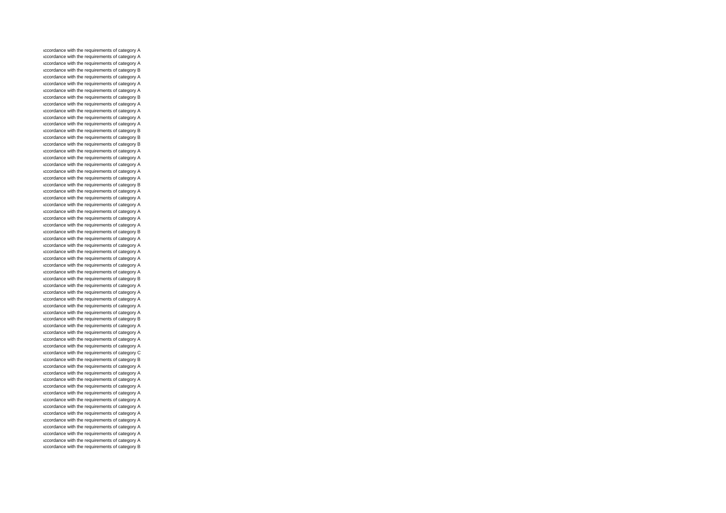accordance with the requirements of category A accordance with the requirements of category A accordance with the requirements of category A accordance with the requirements of category B accordance with the requirements of category A accordance with the requirements of category A accordance with the requirements of category A accordance with the requirements of category B accordance with the requirements of category A accordance with the requirements of category A accordance with the requirements of category A accordance with the requirements of category A accordance with the requirements of category B accordance with the requirements of category B accordance with the requirements of category B accordance with the requirements of category A accordance with the requirements of category A accordance with the requirements of category A accordance with the requirements of category A accordance with the requirements of category A accordance with the requirements of category B accordance with the requirements of category A accordance with the requirements of category A accordance with the requirements of category A accordance with the requirements of category A accordance with the requirements of category A accordance with the requirements of category A accordance with the requirements of category B accordance with the requirements of category A accordance with the requirements of category A accordance with the requirements of category A accordance with the requirements of category A accordance with the requirements of category A accordance with the requirements of category A accordance with the requirements of category B accordance with the requirements of category A accordance with the requirements of category A accordance with the requirements of category A accordance with the requirements of category A accordance with the requirements of category A accordance with the requirements of category B accordance with the requirements of category A accordance with the requirements of category A accordance with the requirements of category A accordance with the requirements of category A accordance with the requirements of category C accordance with the requirements of category B accordance with the requirements of category A accordance with the requirements of category A accordance with the requirements of category A accordance with the requirements of category A accordance with the requirements of category A accordance with the requirements of category A accordance with the requirements of category A accordance with the requirements of category A accordance with the requirements of category A accordance with the requirements of category A accordance with the requirements of category A accordance with the requirements of category A accordance with the requirements of category B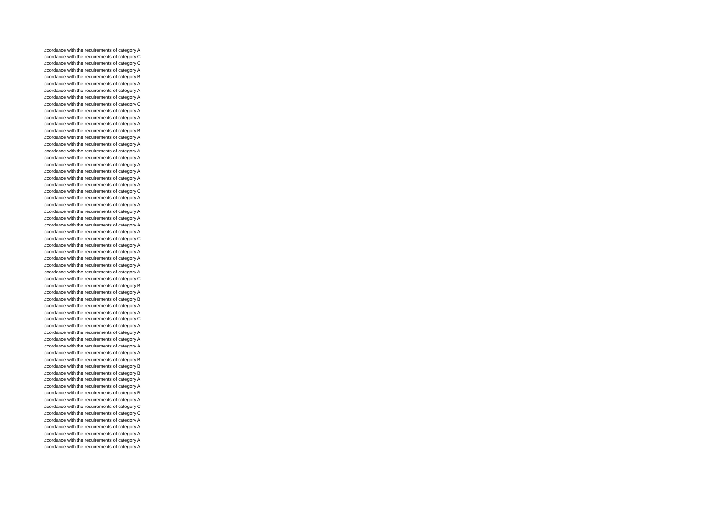accordance with the requirements of category A accordance with the requirements of category C accordance with the requirements of category C accordance with the requirements of category A accordance with the requirements of category B accordance with the requirements of category A accordance with the requirements of category A accordance with the requirements of category A accordance with the requirements of category C accordance with the requirements of category A accordance with the requirements of category A accordance with the requirements of category A accordance with the requirements of category B accordance with the requirements of category A accordance with the requirements of category A accordance with the requirements of category A accordance with the requirements of category A accordance with the requirements of category A accordance with the requirements of category A accordance with the requirements of category A accordance with the requirements of category A accordance with the requirements of category C accordance with the requirements of category A accordance with the requirements of category A accordance with the requirements of category A accordance with the requirements of category A accordance with the requirements of category A accordance with the requirements of category A accordance with the requirements of category C accordance with the requirements of category A accordance with the requirements of category A accordance with the requirements of category A accordance with the requirements of category A accordance with the requirements of category A accordance with the requirements of category C accordance with the requirements of category B accordance with the requirements of category A accordance with the requirements of category B accordance with the requirements of category A accordance with the requirements of category A accordance with the requirements of category C accordance with the requirements of category A accordance with the requirements of category A accordance with the requirements of category A accordance with the requirements of category A accordance with the requirements of category A accordance with the requirements of category B accordance with the requirements of category B accordance with the requirements of category B accordance with the requirements of category A accordance with the requirements of category A accordance with the requirements of category B accordance with the requirements of category A accordance with the requirements of category C accordance with the requirements of category C accordance with the requirements of category A accordance with the requirements of category A accordance with the requirements of category A accordance with the requirements of category A accordance with the requirements of category A